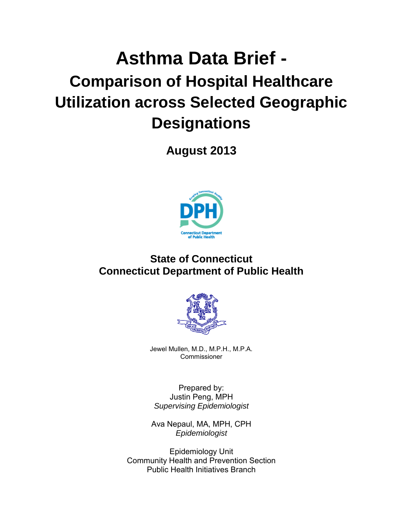# **Asthma Data Brief - Comparison of Hospital Healthcare Utilization across Selected Geographic Designations**

**August 2013**



# **State of Connecticut Connecticut Department of Public Health**



Jewel Mullen, M.D., M.P.H., M.P.A. Commissioner

Prepared by: Justin Peng, MPH *Supervising Epidemiologist*

Ava Nepaul, MA, MPH, CPH *Epidemiologist*

Epidemiology Unit Community Health and Prevention Section Public Health Initiatives Branch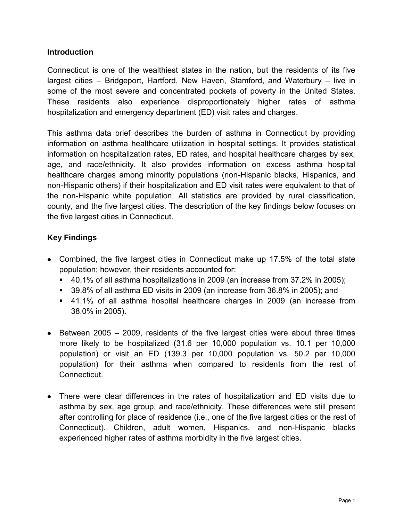### **Introduction**

Connecticut is one of the wealthiest states in the nation, but the residents of its five largest cities – Bridgeport, Hartford, New Haven, Stamford, and Waterbury – live in some of the most severe and concentrated pockets of poverty in the United States. These residents also experience disproportionately higher rates of asthma hospitalization and emergency department (ED) visit rates and charges.

This asthma data brief describes the burden of asthma in Connecticut by providing information on asthma healthcare utilization in hospital settings. It provides statistical information on hospitalization rates, ED rates, and hospital healthcare charges by sex, age, and race/ethnicity. It also provides information on excess asthma hospital healthcare charges among minority populations (non-Hispanic blacks, Hispanics, and non-Hispanic others) if their hospitalization and ED visit rates were equivalent to that of the non-Hispanic white population. All statistics are provided by rural classification, county, and the five largest cities. The description of the key findings below focuses on the five largest cities in Connecticut.

# **Key Findings**

- Combined, the five largest cities in Connecticut make up 17.5% of the total state population; however, their residents accounted for:
	- 40.1% of all asthma hospitalizations in 2009 (an increase from 37.2% in 2005);
	- 39.8% of all asthma ED visits in 2009 (an increase from 36.8% in 2005); and
	- 41.1% of all asthma hospital healthcare charges in 2009 (an increase from 38.0% in 2005).
- $\bullet$  Between 2005 2009, residents of the five largest cities were about three times more likely to be hospitalized (31.6 per 10,000 population vs. 10.1 per 10,000 population) or visit an ED (139.3 per 10,000 population vs. 50.2 per 10,000 population) for their asthma when compared to residents from the rest of **Connecticut.**
- There were clear differences in the rates of hospitalization and ED visits due to asthma by sex, age group, and race/ethnicity. These differences were still present after controlling for place of residence (i.e., one of the five largest cities or the rest of Connecticut). Children, adult women, Hispanics, and non-Hispanic blacks experienced higher rates of asthma morbidity in the five largest cities.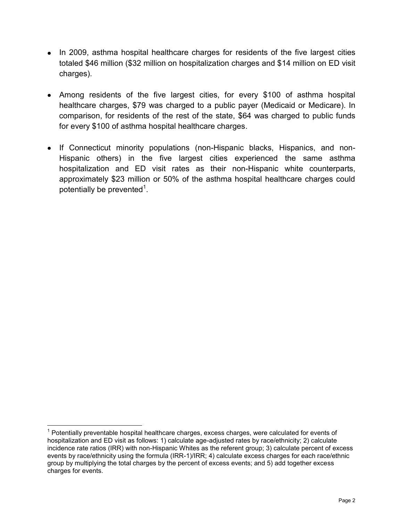- In 2009, asthma hospital healthcare charges for residents of the five largest cities totaled \$46 million (\$32 million on hospitalization charges and \$14 million on ED visit charges).
- Among residents of the five largest cities, for every \$100 of asthma hospital healthcare charges, \$79 was charged to a public payer (Medicaid or Medicare). In comparison, for residents of the rest of the state, \$64 was charged to public funds for every \$100 of asthma hospital healthcare charges.
- If Connecticut minority populations (non-Hispanic blacks, Hispanics, and non-Hispanic others) in the five largest cities experienced the same asthma hospitalization and ED visit rates as their non-Hispanic white counterparts, approximately \$23 million or 50% of the asthma hospital healthcare charges could potentially be prevented<sup>1</sup>.

 $\overline{a}$ 

 $1$  Potentially preventable hospital healthcare charges, excess charges, were calculated for events of hospitalization and ED visit as follows: 1) calculate age-adjusted rates by race/ethnicity; 2) calculate incidence rate ratios (IRR) with non-Hispanic Whites as the referent group; 3) calculate percent of excess events by race/ethnicity using the formula (IRR-1)/IRR; 4) calculate excess charges for each race/ethnic group by multiplying the total charges by the percent of excess events; and 5) add together excess charges for events.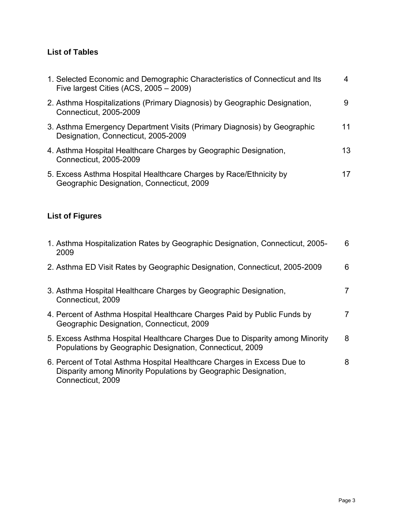# **List of Tables**

| 1. Selected Economic and Demographic Characteristics of Connecticut and Its<br>Five largest Cities (ACS, $2005 - 2009$ ) | 4  |
|--------------------------------------------------------------------------------------------------------------------------|----|
| 2. Asthma Hospitalizations (Primary Diagnosis) by Geographic Designation,<br>Connecticut, 2005-2009                      | 9  |
| 3. Asthma Emergency Department Visits (Primary Diagnosis) by Geographic<br>Designation, Connecticut, 2005-2009           | 11 |
| 4. Asthma Hospital Healthcare Charges by Geographic Designation,<br>Connecticut, 2005-2009                               | 13 |
| 5. Excess Asthma Hospital Healthcare Charges by Race/Ethnicity by<br>Geographic Designation, Connecticut, 2009           | 17 |

# **List of Figures**

| 1. Asthma Hospitalization Rates by Geographic Designation, Connecticut, 2005-<br>2009                                                                           | 6 |
|-----------------------------------------------------------------------------------------------------------------------------------------------------------------|---|
| 2. Asthma ED Visit Rates by Geographic Designation, Connecticut, 2005-2009                                                                                      | 6 |
| 3. Asthma Hospital Healthcare Charges by Geographic Designation,<br>Connecticut, 2009                                                                           |   |
| 4. Percent of Asthma Hospital Healthcare Charges Paid by Public Funds by<br>Geographic Designation, Connecticut, 2009                                           | 7 |
| 5. Excess Asthma Hospital Healthcare Charges Due to Disparity among Minority<br>Populations by Geographic Designation, Connecticut, 2009                        | 8 |
| 6. Percent of Total Asthma Hospital Healthcare Charges in Excess Due to<br>Disparity among Minority Populations by Geographic Designation,<br>Connecticut, 2009 | 8 |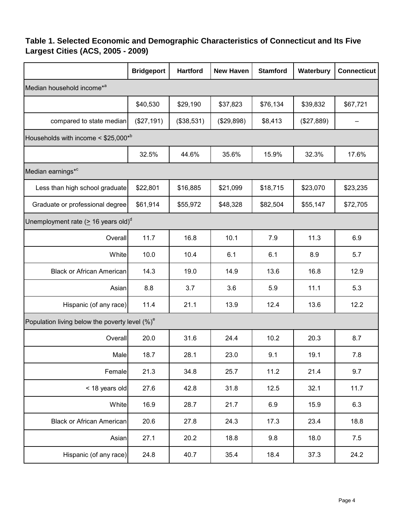# <span id="page-4-0"></span>**Table 1. Selected Economic and Demographic Characteristics of Connecticut and Its Five Largest Cities (ACS, 2005 - 2009)**

|                                                       | <b>Bridgeport</b> | <b>Hartford</b> | <b>New Haven</b> | <b>Stamford</b> | Waterbury  | <b>Connecticut</b> |
|-------------------------------------------------------|-------------------|-----------------|------------------|-----------------|------------|--------------------|
| Median household income <sup>*a</sup>                 |                   |                 |                  |                 |            |                    |
|                                                       | \$40,530          | \$29,190        | \$37,823         | \$76,134        | \$39,832   | \$67,721           |
| compared to state median                              | (\$27,191)        | (\$38,531)      | (\$29,898)       | \$8,413         | (\$27,889) |                    |
| Households with income < \$25,000 <sup>*b</sup>       |                   |                 |                  |                 |            |                    |
|                                                       | 32.5%             | 44.6%           | 35.6%            | 15.9%           | 32.3%      | 17.6%              |
| Median earnings* <sup>c</sup>                         |                   |                 |                  |                 |            |                    |
| Less than high school graduate                        | \$22,801          | \$16,885        | \$21,099         | \$18,715        | \$23,070   | \$23,235           |
| Graduate or professional degree                       | \$61,914          | \$55,972        | \$48,328         | \$82,504        | \$55,147   | \$72,705           |
| Unemployment rate ( $\geq$ 16 years old) <sup>a</sup> |                   |                 |                  |                 |            |                    |
| Overall                                               | 11.7              | 16.8            | 10.1             | 7.9             | 11.3       | 6.9                |
| White                                                 | 10.0              | 10.4            | 6.1              | 6.1             | 8.9        | 5.7                |
| <b>Black or African American</b>                      | 14.3              | 19.0            | 14.9             | 13.6            | 16.8       | 12.9               |
| Asian                                                 | 8.8               | 3.7             | 3.6              | 5.9             | 11.1       | 5.3                |
| Hispanic (of any race)                                | 11.4              | 21.1            | 13.9             | 12.4            | 13.6       | 12.2               |
| Population living below the poverty level $(\%)^e$    |                   |                 |                  |                 |            |                    |
| Overall                                               | 20.0              | 31.6            | 24.4             | 10.2            | 20.3       | 8.7                |
| Male                                                  | 18.7              | 28.1            | 23.0             | 9.1             | 19.1       | 7.8                |
| Female                                                | 21.3              | 34.8            | 25.7             | 11.2            | 21.4       | 9.7                |
| < 18 years old                                        | 27.6              | 42.8            | 31.8             | 12.5            | 32.1       | 11.7               |
| White                                                 | 16.9              | 28.7            | 21.7             | 6.9             | 15.9       | 6.3                |
| <b>Black or African American</b>                      | 20.6              | 27.8            | 24.3             | 17.3            | 23.4       | 18.8               |
| Asian                                                 | 27.1              | 20.2            | 18.8             | 9.8             | 18.0       | 7.5                |
| Hispanic (of any race)                                | 24.8              | 40.7            | 35.4             | 18.4            | 37.3       | 24.2               |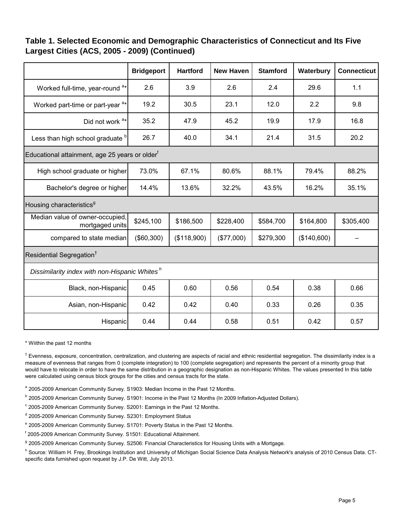## **Table 1. Selected Economic and Demographic Characteristics of Connecticut and Its Five Largest Cities (ACS, 2005 - 2009) (Continued)**

|                                                            | <b>Bridgeport</b> | <b>Hartford</b> | <b>New Haven</b> | <b>Stamford</b> | Waterbury   | <b>Connecticut</b> |
|------------------------------------------------------------|-------------------|-----------------|------------------|-----------------|-------------|--------------------|
| Worked full-time, year-round <sup>a*</sup>                 | 2.6               | 3.9             | 2.6              | 2.4             | 29.6        | 1.1                |
| Worked part-time or part-year <sup>a*</sup>                | 19.2              | 30.5            | 23.1             | 12.0            | 2.2         | 9.8                |
| Did not work <sup>a*</sup>                                 | 35.2              | 47.9            | 45.2             | 19.9            | 17.9        | 16.8               |
| Less than high school graduate b                           | 26.7              | 40.0            | 34.1             | 21.4            | 31.5        | 20.2               |
| Educational attainment, age 25 years or older <sup>t</sup> |                   |                 |                  |                 |             |                    |
| High school graduate or higher                             | 73.0%             | 67.1%           | 80.6%            | 88.1%           | 79.4%       | 88.2%              |
| Bachelor's degree or higher                                | 14.4%             | 13.6%           | 32.2%            | 43.5%           | 16.2%       | 35.1%              |
| Housing characteristics <sup>9</sup>                       |                   |                 |                  |                 |             |                    |
| Median value of owner-occupied,<br>mortgaged units         | \$245,100         | \$186,500       | \$228,400        | \$584,700       | \$164,800   | \$305,400          |
| compared to state median                                   | (\$60,300)        | (\$118,900)     | (\$77,000)       | \$279,300       | (\$140,600) |                    |
| Residential Segregation <sup>†</sup>                       |                   |                 |                  |                 |             |                    |
| Dissimilarity index with non-Hispanic Whites <sup>h</sup>  |                   |                 |                  |                 |             |                    |
| Black, non-Hispanic                                        | 0.45              | 0.60            | 0.56             | 0.54            | 0.38        | 0.66               |
| Asian, non-Hispanic                                        | 0.42              | 0.42            | 0.40             | 0.33            | 0.26        | 0.35               |
| Hispanic                                                   | 0.44              | 0.44            | 0.58             | 0.51            | 0.42        | 0.57               |

\* Wiithin the past 12 months

 $^\dagger$  Evenness, exposure, concentration, centralization, and clustering are aspects of racial and ethnic residential segregation. The dissimilarity index is a measure of evenness that ranges from 0 (complete integration) to 100 (complete segregation) and represents the percent of a minority group that would have to relocate in order to have the same distribution in a geographic designation as non-Hispanic Whites. The values presented In this table were calculated using census block groups for the cities and census tracts for the state.

a 2005-2009 American Community Survey. S1903: Median Income in the Past 12 Months.

<sup>b</sup> 2005-2009 American Community Survey. S1901: Income in the Past 12 Months (In 2009 Inflation-Adjusted Dollars).

<sup>c</sup> 2005-2009 American Community Survey. S2001: Earnings in the Past 12 Months.

<sup>d</sup> 2005-2009 American Community Survey. S2301: Employment Status

<sup>e</sup> 2005-2009 American Community Survey. S1701: Poverty Status in the Past 12 Months.

f 2005-2009 American Community Survey. S1501: Educational Attainment.

<sup>g</sup> 2005-2009 American Community Survey. S2506: Financial Characteristics for Housing Units with a Mortgage.

<sup>h</sup> Source: William H. Frey, Brookings Institution and University of Michigan Social Science Data Analysis Network's analysis of 2010 Census Data. CTspecific data furnished upon request by J.P. De Witt, July 2013.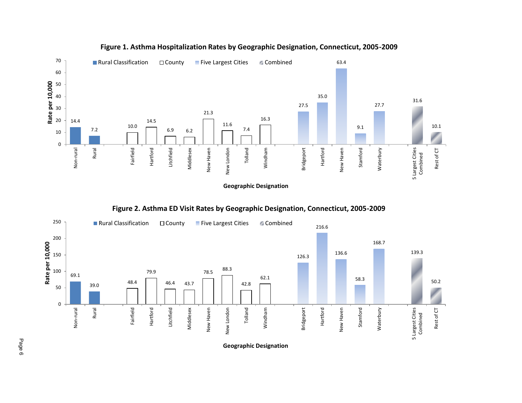<span id="page-6-0"></span>

### **Figure 1. Asthma Hospitalization Rates by Geographic Designation, Connecticut, 2005-2009**

**Geographic Designation**





**Geographic Designation**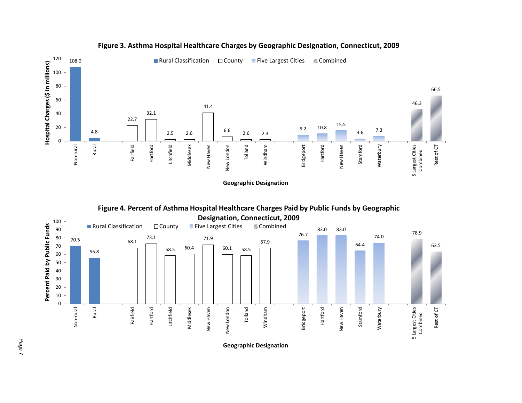<span id="page-7-0"></span>

### **Figure 3. Asthma Hospital Healthcare Charges by Geographic Designation, Connecticut, 2009**





**Geographic Designation**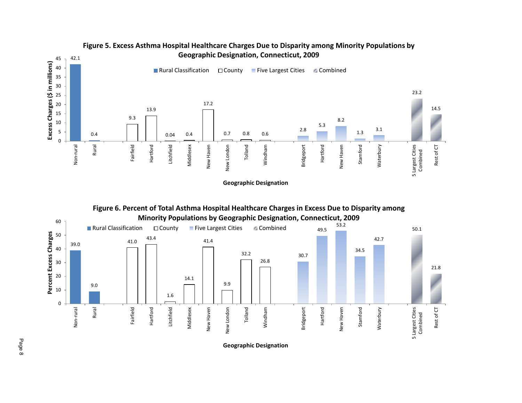<span id="page-8-0"></span>

**Figure 5. Excess Asthma Hospital Healthcare Charges Due to Disparity among Minority Populations by Geographic Designation, Connecticut, 2009**

**Geographic Designation**



**Geographic Designation**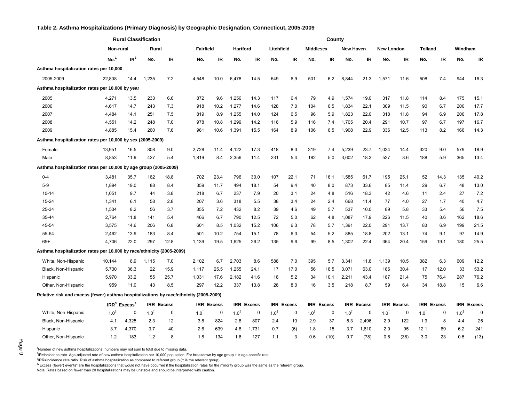#### <span id="page-9-0"></span>**Table 2. Asthma Hospitalizations (Primary Diagnosis) by Geographic Designation, Connecticut, 2005-2009**

|                                                                                        | <b>Rural Classification</b> |                            |           |                   |                  |                   | County          |                   |            |                   |                  |                   |                  |                   |                   |                   |                |                   |           |                   |
|----------------------------------------------------------------------------------------|-----------------------------|----------------------------|-----------|-------------------|------------------|-------------------|-----------------|-------------------|------------|-------------------|------------------|-------------------|------------------|-------------------|-------------------|-------------------|----------------|-------------------|-----------|-------------------|
|                                                                                        | Non-rural                   |                            | Rural     |                   | <b>Fairfield</b> |                   | <b>Hartford</b> |                   | Litchfield |                   | <b>Middlesex</b> |                   | <b>New Haven</b> |                   | <b>New London</b> |                   | <b>Tolland</b> |                   | Windham   |                   |
|                                                                                        | No. <sup>1</sup>            | IR <sup>2</sup>            | No.       | IR                | No.              | IR                | No.             | IR                | No.        | IR                | No.              | IR                | No.              | IR                | No.               | IR                | No.            | IR                | No.       | IR                |
| Asthma hospitalization rates per 10,000                                                |                             |                            |           |                   |                  |                   |                 |                   |            |                   |                  |                   |                  |                   |                   |                   |                |                   |           |                   |
| 2005-2009                                                                              | 22,808                      | 14.4                       | 1,235     | 7.2               | 4,548            | 10.0              | 6,478           | 14.5              | 649        | 6.9               | 501              | 6.2               | 8,844            | 21.3              | 1,571             | 11.6              | 508            | 7.4               | 944       | 16.3              |
| Asthma hospitalization rates per 10,000 by year                                        |                             |                            |           |                   |                  |                   |                 |                   |            |                   |                  |                   |                  |                   |                   |                   |                |                   |           |                   |
| 2005                                                                                   | 4,271                       | 13.5                       | 233       | 6.6               | 872              | 9.6               | 1,256           | 14.3              | 117        | 6.4               | 79               | 4.9               | 1,574            | 19.0              | 317               | 11.8              | 114            | 8.4               | 175       | 15.1              |
| 2006                                                                                   | 4,617                       | 14.7                       | 243       | 7.3               | 918              | 10.2              | 1,277           | 14.6              | 128        | 7.0               | 104              | 6.5               | 1,834            | 22.1              | 309               | 11.5              | 90             | 6.7               | 200       | 17.7              |
| 2007                                                                                   | 4,484                       | 14.1                       | 251       | 7.5               | 819              | 8.9               | 1,255           | 14.0              | 124        | 6.5               | 96               | 5.9               | 1,823            | 22.0              | 318               | 11.8              | 94             | 6.9               | 206       | 17.8              |
| 2008                                                                                   | 4,551                       | 14.2                       | 248       | 7.0               | 978              | 10.8              | 1,299           | 14.2              | 116        | 5.9               | 116              | 7.4               | 1,705            | 20.4              | 291               | 10.7              | 97             | 6.7               | 197       | 16.7              |
| 2009                                                                                   | 4,885                       | 15.4                       | 260       | 7.6               | 961              | 10.6              | 1,391           | 15.5              | 164        | 8.9               | 106              | 6.5               | 1,908            | 22.9              | 336               | 12.5              | 113            | 8.2               | 166       | 14.3              |
| Asthma hospitalization rates per 10,000 by sex (2005-2009)                             |                             |                            |           |                   |                  |                   |                 |                   |            |                   |                  |                   |                  |                   |                   |                   |                |                   |           |                   |
| Female                                                                                 | 13,951                      | 16.5                       | 808       | 9.0               | 2,728            | 11.4              | 4,122           | 17.3              | 418        | 8.3               | 319              | 7.4               | 5,239            | 23.7              | 1,034             | 14.4              | 320            | 9.0               | 579       | 18.9              |
| Male                                                                                   | 8,853                       | 11.9                       | 427       | 5.4               | 1,819            | 8.4               | 2,356           | 11.4              | 231        | 5.4               | 182              | 5.0               | 3,602            | 18.3              | 537               | 8.6               | 188            | 5.9               | 365       | 13.4              |
| Asthma hospitalization rates per 10,000 by age group (2005-2009)                       |                             |                            |           |                   |                  |                   |                 |                   |            |                   |                  |                   |                  |                   |                   |                   |                |                   |           |                   |
| $0 - 4$                                                                                | 3,481                       | 35.7                       | 162       | 18.8              | 702              | 23.4              | 796             | 30.0              | 107        | 22.1              | 71               | 16.1              | 1,585            | 61.7              | 195               | 25.1              | 52             | 14.3              | 135       | 40.2              |
| $5-9$                                                                                  | 1,894                       | 19.0                       | 88        | 8.4               | 359              | 11.7              | 494             | 18.1              | 54         | 9.4               | 40               | 8.0               | 873              | 33.6              | 85                | 11.4              | 29             | 6.7               | 48        | 13.0              |
| 10-14                                                                                  | 1,051                       | 9.7                        | 44        | 3.8               | 218              | 6.7               | 237             | 7.9               | 20         | 3.1               | 24               | 4.8               | 516              | 18.3              | 42                | 4.6               | 11             | 2.4               | 27        | 7.2               |
| 15-24                                                                                  | 1,341                       | 6.1                        | 58        | 2.8               | 207              | 3.6               | 318             | 5.5               | 38         | 3.4               | 24               | 2.4               | 668              | 11.4              | 77                | 4.0               | 27             | 1.7               | 40        | 4.7               |
| 25-34                                                                                  | 1,534                       | 8.2                        | 56        | 3.7               | 355              | 7.2               | 432             | 8.2               | 39         | 4.6               | 49               | 5.7               | 537              | 10.0              | 89                | 5.8               | 33             | 5.4               | 56        | 7.5               |
| 35-44                                                                                  | 2,764                       | 11.8                       | 141       | 5.4               | 466              | 6.7               | 790             | 12.5              | 72         | 5.0               | 62               | 4.8               | 1,087            | 17.9              | 226               | 11.5              | 40             | 3.6               | 162       | 18.6              |
| 45-54                                                                                  | 3,575                       | 14.6                       | 206       | 6.8               | 601              | 8.5               | 1,032           | 15.2              | 106        | 6.3               | 78               | 5.7               | 1,391            | 22.0              | 291               | 13.7              | 83             | 6.9               | 199       | 21.5              |
| 55-64                                                                                  | 2,462                       | 13.9                       | 183       | 8.4               | 501              | 10.2              | 754             | 15.1              | 78         | 6.3               | 54               | 5.2               | 885              | 18.8              | 202               | 13.1              | 74             | 9.1               | 97        | 14.9              |
| $65+$                                                                                  | 4.706                       | 22.0                       | 297       | 12.8              | 1.139            | 19.5              | 1.625           | 26.2              | 135        | 9.6               | 99               | 8.5               | 1,302            | 22.4              | 364               | 20.4              | 159            | 19.1              | 180       | 25.5              |
| Asthma hospitalization rates per 10,000 by race/ethnicity (2005-2009)                  |                             |                            |           |                   |                  |                   |                 |                   |            |                   |                  |                   |                  |                   |                   |                   |                |                   |           |                   |
| White, Non-Hispanic                                                                    | 10,144                      | 8.9                        | 1,115     | 7.0               | 2,102            | 6.7               | 2,703           | 8.6               | 588        | 7.0               | 395              | 5.7               | 3,341            | 11.8              | 1,139             | 10.5              | 382            | 6.3               | 609       | 12.2              |
| Black, Non-Hispanic                                                                    | 5,730                       | 36.3                       | 22        | 15.9              | 1,117            | 25.5              | 1,255           | 24.1              | 17         | 17.0              | 56               | 16.5              | 3,071            | 63.0              | 186               | 30.4              | 17             | 12.0              | 33        | 53.2              |
| Hispanic                                                                               | 5,970                       | 33.2                       | 55        | 25.7              | 1,031            | 17.6              | 2,182           | 41.6              | 18         | 5.2               | 34               | 10.1              | 2,211            | 43.4              | 187               | 21.4              | 75             | 76.4              | 287       | 76.2              |
| Other, Non-Hispanic                                                                    | 959                         | 11.0                       | 43        | 8.5               | 297              | 12.2              | 337             | 13.8              | 26         | 8.0               | 16               | 3.5               | 218              | 8.7               | 59                | 6.4               | 34             | 18.8              | 15        | 6.6               |
| Relative risk and excess (fewer) asthma hospitalizations by race/ethnicity (2005-2009) |                             |                            |           |                   |                  |                   |                 |                   |            |                   |                  |                   |                  |                   |                   |                   |                |                   |           |                   |
|                                                                                        |                             | $IRR3$ Excess <sup>4</sup> |           | <b>IRR Excess</b> |                  | <b>IRR Excess</b> |                 | <b>IRR Excess</b> |            | <b>IRR Excess</b> |                  | <b>IRR Excess</b> |                  | <b>IRR Excess</b> |                   | <b>IRR Excess</b> |                | <b>IRR Excess</b> |           | <b>IRR Excess</b> |
| White, Non-Hispanic                                                                    | $1.0^{1}$                   | 0                          | $1.0^{1}$ | 0                 | $1.0^{\dagger}$  | 0                 | $1.0^{1}$       | 0                 | $1.0^{1}$  | 0                 | $1.0^{1}$        | 0                 | $1.0^{+}$        | $\mathbf 0$       | $1.0^{1}$         | 0                 | $1.0^{T}$      | 0                 | $1.0^{1}$ | $\mathbf 0$       |
| Black, Non-Hispanic                                                                    | 4.1                         | 4,325                      | 2.3       | 12                | 3.8              | 824               | 2.8             | 807               | 2.4        | 10                | 2.9              | 37                | 5.3              | 2,496             | 2.9               | 122               | 1.9            | 8                 | 4.4       | 25                |
| Hispanic                                                                               | 3.7                         | 4.370                      | 3.7       | 40                | 2.6              | 639               | 4.8             | 1,731             | 0.7        | (6)               | 1.8              | 15                | 3.7              | 1,610             | 2.0               | 95                | 12.1           | 69                | 6.2       | 241               |
| Other, Non-Hispanic                                                                    | 1.2                         | 183                        | 1.2       | 8                 | 1.8              | 134               | 1.6             | 127               | 1.1        | 3                 | 0.6              | (10)              | 0.7              | (78)              | 0.6               | (38)              | 3.0            | 23                | 0.5       | (13)              |

<sup>1</sup>Number of new asthma hospitalizations; numbers may not sum to total due to missing data.

<sup>2</sup>IR=incidence rate. Age-adjusted rate of new asthma hospitalization per 10,000 population. For breakdown by age group it is age-specific rate.

<sup>3</sup>IRR=incidence rate ratio. Risk of asthma hospitalization as compared to referent group († is the referent group).

<sup>4</sup> Excess (fewer) events" are the hospitalizations that would not have occurred if the hospitalization rates for the minority group was the same as the referent group.

Note: Rates based on fewer than 20 hospitalizations may be unstable and should be interpreted with caution.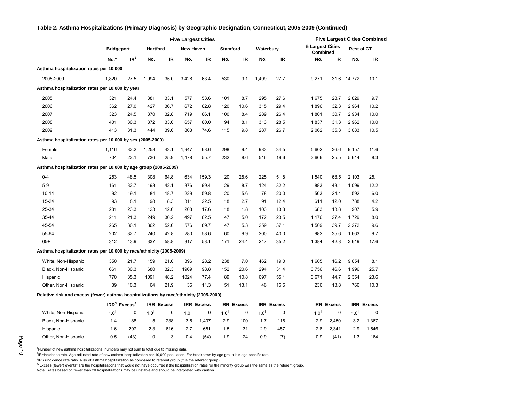#### **No.<sup>1</sup> IR<sup>2</sup> No. IR No. IR No. IR No. IR No. IR No. IR Asthma hospitalization rates per 10,000** 2005-2009 1,820 27.5 1,994 35.0 3,428 63.4 530 9.1 1,499 27.7 9,271 31.6 14,772 10.1 **Asthma hospitalization rates per 10,000 by year**  2005 321 24.4 381 33.1 577 53.6 101 8.7 295 27.6 1,675 28.7 2,829 9.7 2006 362 27.0 427 36.7 672 62.8 120 10.6 315 29.4 1,896 32.3 2,964 10.2 2007 323 24.5 370 32.8 719 66.1 100 8.4 289 26.4 1,801 30.7 2,934 10.0 2008 401 30.3 372 33.0 657 60.0 94 8.1 313 28.5 1,837 31.3 2,962 10.0 2009 413 31.3 444 39.6 803 74.6 115 9.8 287 26.7 2,062 35.3 3,083 10.5 **Asthma hospitalization rates per 10,000 by sex (2005-2009)** Female 1,116 32.2 1,258 43.1 1,947 68.6 298 9.4 983 34.5 5,602 36.6 9,157 11.6 Male 704 22.1 736 25.9 1,478 55.7 232 8.6 516 19.6 3,666 25.5 5,614 8.3 **Asthma hospitalization rates per 10,000 by age group (2005-2009)** 0-4 253 48.5 308 64.8 634 159.3 120 28.6 225 51.8 1,540 68.5 2,103 25.1 5-9 161 32.7 193 42.1 376 99.4 29 8.7 124 32.2 883 43.1 1,099 12.2 10-14 92 19.1 84 18.7 229 59.8 20 5.6 78 20.0 503 24.4 592 6.0 15-24 93 8.1 98 8.3 311 22.5 18 2.7 91 12.4 611 12.0 788 4.2 25-34 231 23.3 123 12.6 208 17.6 18 1.8 103 13.3 683 13.8 907 5.9 35-44 211 21.3 249 30.2 497 62.5 47 5.0 172 23.5 1,176 27.4 1,729 8.0 45-54 265 30.1 362 52.0 576 89.7 47 5.3 259 37.1 1,509 39.7 2,272 9.6 55-64 202 32.7 240 42.8 280 58.6 60 9.9 200 40.0 982 35.6 1,663 9.7 65+ 312 43.9 337 58.8 317 58.1 171 24.4 247 35.2 1,384 42.8 3,619 17.6 **Asthma hospitalization rates per 10,000 by race/ethnicity (2005-2009)** White, Non-Hispanic 350 21.7 159 21.0 396 28.2 238 7.0 462 19.0 1,605 16.2 9,654 8.1 Black, Non-Hispanic 661 30.3 680 32.3 1969 98.8 152 20.6 294 31.4 3,756 46.6 1,996 25.7 Hispanic 770 35.3 1091 48.2 1024 77.4 89 10.8 697 55.1 3,671 44.7 2,354 23.6 Other, Non-Hispanic 39 10.3 64 21.9 36 11.3 51 13.1 46 16.5 236 13.8 766 10.3 **Relative risk and excess (fewer) asthma hospitalizations by race/ethnicity (2005-2009) IRR<sup>3</sup> Excess<sup>4</sup> IRR Excess IRR Excess IRR Excess IRR Excess IRR Excess IRR Excess** White, Non-Hispanic  $1.0^{\dagger}$  0  $1.0^{\dagger}$  0  $1.0^{\dagger}$  0  $1.0^{\dagger}$  0  $1.0^{\dagger}$  0  $1.0^{\dagger}$  0  $1.0^{\dagger}$  0 Black, Non-Hispanic 1.4 188 1.5 238 3.5 1,407 2.9 100 1.7 116 2.9 2,450 3.2 1,367 Hispanic 1.6 297 2.3 616 2.7 651 1.5 31 2.9 457 2.8 2,341 2.9 1,546 **New Haven Bridgeport Hartford Waterbury Five Largest Cities Combined Stamford Five Largest Cities Rest of CT 5 Largest Cities Combined**

Other, Non-Hispanic 0.5 (43) 1.0 3 0.4 (54) 1.9 24 0.9 (7) 0.9 (41) 1.3 164

#### **Table 2. Asthma Hospitalizations (Primary Diagnosis) by Geographic Designation, Connecticut, 2005-2009 (Continued)**

<sup>1</sup>Number of new asthma hospitalizations; numbers may not sum to total due to missing data.

<sup>2</sup>IR=incidence rate. Age-adjusted rate of new asthma hospitalization per 10,000 population. For breakdown by age group it is age-specific rate.

<sup>3</sup>IRR=incidence rate ratio. Risk of asthma hospitalization as compared to referent group († is the referent group).

<sup>4</sup> Excess (fewer) events" are the hospitalizations that would not have occurred if the hospitalization rates for the minority group was the same as the referent group.

Note: Rates based on fewer than 20 hospitalizations may be unstable and should be interpreted with caution.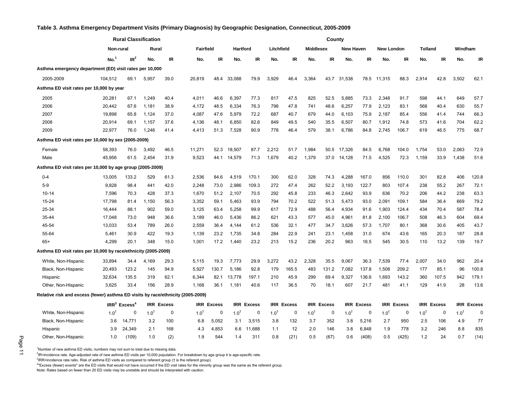#### <span id="page-11-0"></span>**Table 3. Asthma Emergency Department Visits (Primary Diagnosis) by Geographic Designation, Connecticut, 2005-2009**

|                                                                                 | <b>Rural Classification</b> |                            |                 |                   | County     |               |            |               |            |                   |                  |                   |                  |                   |                   |               |                |               |            |               |
|---------------------------------------------------------------------------------|-----------------------------|----------------------------|-----------------|-------------------|------------|---------------|------------|---------------|------------|-------------------|------------------|-------------------|------------------|-------------------|-------------------|---------------|----------------|---------------|------------|---------------|
|                                                                                 | Non-rural                   |                            | Rural           |                   | Fairfield  |               | Hartford   |               | Litchfield |                   | <b>Middlesex</b> |                   | <b>New Haven</b> |                   | <b>New London</b> |               | <b>Tolland</b> |               | Windham    |               |
|                                                                                 | No.                         | IR <sup>2</sup>            | No.             | IR                | No.        | <b>IR</b>     | No.        | <b>IR</b>     | No.        | IR                | No.              | <b>IR</b>         | No.              | IR.               | No.               | IR            | No.            | IR            | No.        | IR            |
| Asthma emergency department (ED) visit rates per 10,000                         |                             |                            |                 |                   |            |               |            |               |            |                   |                  |                   |                  |                   |                   |               |                |               |            |               |
| 2005-2009                                                                       | 104,512                     | 69.1                       | 5,957           | 39.0              | 20,819     | 48.4          | 33,088     | 79.9          | 3,929      | 46.4              | 3,364            | 43.7              | 31,538           |                   | 78.5 11,315       | 88.3          | 2,914          | 42.8          | 3,502      | 62.1          |
| Asthma ED visit rates per 10,000 by year                                        |                             |                            |                 |                   |            |               |            |               |            |                   |                  |                   |                  |                   |                   |               |                |               |            |               |
| 2005                                                                            | 20,281                      | 67.1                       | 1,249           | 40.4              | 4,011      | 46.6          | 6,397      | 77.3          | 817        | 47.5              | 825              | 52.5              | 5,885            | 73.3              | 2,348             | 91.7          | 598            | 44.1          | 649        | 57.7          |
| 2006                                                                            | 20,442                      | 67.6                       | 1,181           | 38.9              | 4,172      | 48.5          | 6,334      | 76.3          | 798        | 47.8              | 741              | 48.6              | 6,257            | 77.9              | 2,123             | 83.1          | 568            | 40.4          | 630        | 55.7          |
| 2007                                                                            | 19,898                      | 65.8                       | 1,124           | 37.0              | 4,087      | 47.6          | 5,979      | 72.2          | 687        | 40.7              | 679              | 44.0              | 6,103            | 75.9              | 2,187             | 85.4          | 556            | 41.4          | 744        | 66.3          |
| 2008                                                                            | 20,914                      | 69.1                       | 1,157           | 37.6              | 4,136      | 48.1          | 6,850      | 82.6          | 849        | 49.5              | 540              | 35.5              | 6,507            | 80.7              | 1,912             | 74.8          | 573            | 41.6          | 704        | 62.2          |
| 2009                                                                            | 22,977                      | 76.0                       | 1,246           | 41.4              | 4,413      | 51.3          | 7,528      | 90.9          | 778        | 46.4              | 579              | 38.1              | 6,786            | 84.8              | 2,745             | 106.7         | 619            | 46.5          | 775        | 68.7          |
| Asthma ED visit rates per 10,000 by sex (2005-2009)                             |                             |                            |                 |                   |            |               |            |               |            |                   |                  |                   |                  |                   |                   |               |                |               |            |               |
| Female                                                                          | 58,393                      | 76.0                       | 3,492           | 46.5              | 11,271     | 52.3          | 18,507     | 87.7          | 2,212      | 51.7              | 1,984            | 50.5              | 17,326           | 84.5              | 6,768             | 104.0         | 1,754          | 53.0          | 2,063      | 72.9          |
| Male                                                                            | 45,956                      | 61.5                       | 2,454           | 31.9              | 9,523      | 44.1          | 14,579     | 71.3          | 1,679      | 40.2              | 1,379            | 37.0              | 14,128           | 71.5              | 4,525             | 72.3          | 1,159          | 33.9          | 1,438      | 51.6          |
| Asthma ED visit rates per 10,000 by age group (2005-2009)                       |                             |                            |                 |                   |            |               |            |               |            |                   |                  |                   |                  |                   |                   |               |                |               |            |               |
| $0 - 4$                                                                         | 13,005                      | 133.2                      | 529             | 61.3              | 2,536      | 84.6          | 4,519      | 170.1         | 300        | 62.0              | 328              | 74.3              | 4,288            | 167.0             | 856               | 110.0         | 301            | 82.8          | 406        | 120.8         |
| $5-9$                                                                           | 9,828                       | 98.4                       | 441             | 42.0              | 2,248      | 73.0          | 2,986      | 109.3         | 272        | 47.4              | 262              | 52.2              | 3,193            | 122.7             | 803               | 107.4         | 238            | 55.2          | 267        | 72.1          |
| $10 - 14$                                                                       | 7,596                       | 70.3                       | 428             | 37.3              | 1,670      | 51.2          | 2,107      | 70.5          | 292        | 45.8              | 233              | 46.3              | 2,642            | 93.9              | 636               | 70.2          | 206            | 44.2          | 238        | 63.3          |
| 15-24                                                                           | 17,798                      | 81.4                       | 1,150           | 56.3              | 3,352      | 59.1          | 5,463      | 93.9          | 794        | 70.2              | 522              | 51.3              | 5,473            | 93.0              | 2,091             | 109.1         | 584            | 36.4          | 669        | 79.2          |
| 25-34                                                                           | 16,444                      | 88.1                       | 902             | 59.0              | 3,125      | 63.4          | 5,258      | 99.9          | 617        | 72.9              | 488              | 56.4              | 4,934            | 91.6              | 1,903             | 124.4         | 434            | 70.4          | 587        | 78.4          |
| 35-44                                                                           | 17,048                      | 73.0                       | 948             | 36.6              | 3,189      | 46.0          | 5,436      | 86.2          | 621        | 43.3              | 577              | 45.0              | 4,961            | 81.8              | 2,100             | 106.7         | 508            | 46.3          | 604        | 69.4          |
| 45-54                                                                           | 13,033                      | 53.4                       | 789             | 26.0              | 2,559      | 36.4          | 4,144      | 61.2          | 536        | 32.1              | 477              | 34.7              | 3,626            | 57.3              | 1,707             | 80.1          | 368            | 30.6          | 405        | 43.7          |
| 55-64                                                                           | 5.461                       | 30.9                       | 422             | 19.3              | 1.139      | 23.2          | 1,735      | 34.8          | 284        | 22.9              | 241              | 23.1              | 1,458            | 31.0              | 674               | 43.6          | 165            | 20.3          | 187        | 28.8          |
| $65+$                                                                           | 4,299                       | 20.1                       | 348             | 15.0              | 1.001      | 17.2          | 1.440      | 23.2          | 213        | 15.2              | 236              | 20.2              | 963              | 16.5              | 545               | 30.5          | 110            | 13.2          | 139        | 19.7          |
| Asthma ED visit rates per 10,000 by race/ethnicity (2005-2009)                  |                             |                            |                 |                   |            |               |            |               |            |                   |                  |                   |                  |                   |                   |               |                |               |            |               |
| White, Non-Hispanic                                                             | 33,894                      | 34.4                       | 4,169           | 29.3              | 5,115      | 19.3          | 7,773      | 29.9          | 3,272      | 43.2              | 2,328            | 35.5              | 9,067            | 36.3              | 7,539             | 77.4          | 2,007          | 34.0          | 962        | 20.4          |
| Black, Non-Hispanic                                                             | 20,493                      | 123.2                      | 145             | 94.9              | 5,927      | 130.7         | 5,186      | 92.8          | 179        | 165.5             | 483              | 131.2             | 7,082            | 137.8             | 1,508             | 209.2         | 177            | 85.1          | 96         | 100.8         |
| Hispanic                                                                        | 32,634                      | 135.5                      | 319             | 62.1              | 6,344      | 82.1          | 13,778     | 197.1         | 210        | 45.9              | 299              | 69.4              | 9,327            | 136.6             | 1.693             | 143.2         | 360            | 107.5         | 942        | 179.1         |
| Other, Non-Hispanic                                                             | 3,625                       | 33.4                       | 156             | 28.9              | 1.168      | 36.1          | 1,181      | 40.6          | 117        | 36.5              | 70               | 18.1              | 607              | 21.7              | 481               | 41.1          | 129            | 41.9          | 28         | 13.6          |
| Relative risk and excess (fewer) asthma ED visits by race/ethnicity (2005-2009) |                             |                            |                 |                   |            |               |            |               |            |                   |                  |                   |                  |                   |                   |               |                |               |            |               |
|                                                                                 |                             | $IRR3$ Excess <sup>4</sup> |                 | <b>IRR Excess</b> | <b>IRR</b> | <b>Excess</b> | <b>IRR</b> | <b>Excess</b> |            | <b>IRR Excess</b> |                  | <b>IRR Excess</b> |                  | <b>IRR Excess</b> | <b>IRR</b>        | <b>Excess</b> | <b>IRR</b>     | <b>Excess</b> | <b>IRR</b> | <b>Excess</b> |
| White, Non-Hispanic                                                             | $1.0^{1}$                   | 0                          | $1.0^{\dagger}$ | 0                 | $1.0^{1}$  | $\Omega$      | $1.0^{1}$  | $\Omega$      | $1.0^{1}$  | 0                 | $1.0^{T}$        | 0                 | $1.0^{1}$        | $\Omega$          | $1.0^{t}$         | 0             | $1.0^{T}$      | 0             | $1.0^{1}$  | 0             |
| Black, Non-Hispanic                                                             | 3.6                         | 14,771                     | 3.2             | 100               | 6.8        | 5,052         | 3.1        | 3,515         | 3.8        | 132               | 3.7              | 352               | 3.8              | 5,216             | 2.7               | 950           | 2.5            | 106           | 4.9        | 77            |
| Hispanic                                                                        | 3.9                         | 24,349                     | 2.1             | 168               | 4.3        | 4,853         | 6.6        | 11,688        | 1.1        | 12                | 2.0              | 146               | 3.8              | 6,848             | 1.9               | 778           | 3.2            | 246           | 8.8        | 835           |
| Other, Non-Hispanic                                                             | 1.0                         | (109)                      | 1.0             | (2)               | 1.9        | 544           | 1.4        | 311           | 0.8        | (21)              | 0.5              | (67)              | 0.6              | (408)             | 0.5               | (425)         | 1.2            | 24            | 0.7        | (14)          |

<sup>1</sup>Number of new asthma ED visits; numbers may not sum to total due to missing data.

<sup>2</sup>IR=incidence rate. Age-adjusted rate of new asthma ED visits per 10,000 population. For breakdown by age group it is age-specific rate.

<sup>3</sup>IRR=incidence rate ratio. Risk of asthma ED visits as compared to referent group († is the referent group).

<sup>4</sup> Excess (fewer) events" are the ED visits that would not have occurred if the ED visit rates for the minority group was the same as the referent group.

Note: Rates based on fewer than 20 ED visits may be unstable and should be interpreted with caution.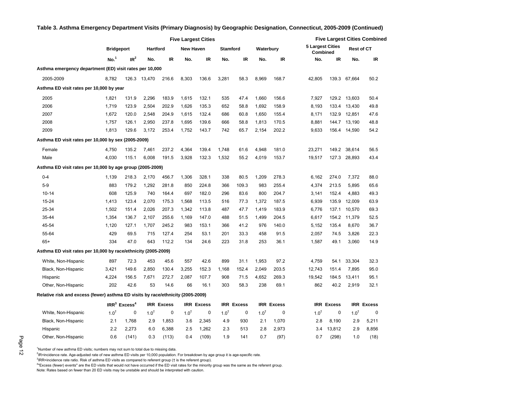|                                                                                 |                   | <b>Five Largest Cities</b> |           |                   |                  |                   |           |                   |                  |                   | <b>Five Largest Cities Combined</b> |                   |                   |                   |  |
|---------------------------------------------------------------------------------|-------------------|----------------------------|-----------|-------------------|------------------|-------------------|-----------|-------------------|------------------|-------------------|-------------------------------------|-------------------|-------------------|-------------------|--|
|                                                                                 | <b>Bridgeport</b> |                            | Hartford  |                   | <b>New Haven</b> |                   |           | <b>Stamford</b>   | Waterbury        |                   | <b>5 Largest Cities</b><br>Combined |                   | <b>Rest of CT</b> |                   |  |
|                                                                                 | No. <sup>1</sup>  | IR <sup>2</sup>            | No.       | <b>IR</b>         | No.              | IR                | No.       | IR                | No.              | IR                | No.                                 | IR                | No.               | IR                |  |
| Asthma emergency department (ED) visit rates per 10,000                         |                   |                            |           |                   |                  |                   |           |                   |                  |                   |                                     |                   |                   |                   |  |
| 2005-2009                                                                       | 8,782             | 126.3                      | 13,470    | 216.6             | 8,303            | 136.6             | 3,281     | 58.3              | 8,969            | 168.7             | 42,805                              | 139.3             | 67,664            | 50.2              |  |
| Asthma ED visit rates per 10,000 by year                                        |                   |                            |           |                   |                  |                   |           |                   |                  |                   |                                     |                   |                   |                   |  |
| 2005                                                                            | 1,821             | 131.9                      | 2,296     | 183.9             | 1,615            | 132.1             | 535       | 47.4              | 1,660            | 156.6             | 7,927                               |                   | 129.2 13,603      | 50.4              |  |
| 2006                                                                            | 1,719             | 123.9                      | 2,504     | 202.9             | 1,626            | 135.3             | 652       | 58.8              | 1,692            | 158.9             | 8,193                               | 133.4             | 13,430            | 49.8              |  |
| 2007                                                                            | 1,672             | 120.0                      | 2,548     | 204.9             | 1,615            | 132.4             | 686       | 60.8              | 1,650            | 155.4             | 8,171                               |                   | 132.9 12,851      | 47.6              |  |
| 2008                                                                            | 1,757             | 126.1                      | 2,950     | 237.8             | 1,695            | 139.6             | 666       | 58.8              | 1,813            | 170.5             | 8,881                               | 144.7             | 13,190            | 48.8              |  |
| 2009                                                                            | 1,813             | 129.6                      | 3,172     | 253.4             | 1,752            | 143.7             | 742       | 65.7              | 2,154            | 202.2             | 9,633                               |                   | 156.4 14,590      | 54.2              |  |
| Asthma ED visit rates per 10,000 by sex (2005-2009)                             |                   |                            |           |                   |                  |                   |           |                   |                  |                   |                                     |                   |                   |                   |  |
| Female                                                                          | 4,750             | 135.2                      | 7,461     | 237.2             | 4,364            | 139.4             | 1,748     | 61.6              | 4,948            | 181.0             | 23,271                              | 149.2             | 38,614            | 56.5              |  |
| Male                                                                            | 4,030             | 115.1                      | 6,008     | 191.5             | 3,928            | 132.3             | 1,532     | 55.2              | 4,019            | 153.7             | 19,517                              |                   | 127.3 28,893      | 43.4              |  |
| Asthma ED visit rates per 10,000 by age group (2005-2009)                       |                   |                            |           |                   |                  |                   |           |                   |                  |                   |                                     |                   |                   |                   |  |
| $0 - 4$                                                                         | 1,139             | 218.3                      | 2,170     | 456.7             | 1,306            | 328.1             | 338       | 80.5              | 1,209            | 278.3             | 6.162                               | 274.0             | 7,372             | 88.0              |  |
| $5-9$                                                                           | 883               | 179.2                      | 1,292     | 281.8             | 850              | 224.8             | 366       | 109.3             | 983              | 255.4             | 4,374                               | 213.5             | 5,895             | 65.6              |  |
| $10 - 14$                                                                       | 608               | 125.9                      | 740       | 164.4             | 697              | 182.0             | 296       | 83.6              | 800              | 204.7             | 3,141                               | 152.4             | 4,883             | 49.3              |  |
| 15-24                                                                           | 1,413             | 123.4                      | 2,070     | 175.3             | 1,568            | 113.5             | 516       | 77.3              | 1,372            | 187.5             | 6,939                               | 135.9             | 12,009            | 63.9              |  |
| 25-34                                                                           | 1,502             | 151.4                      | 2,026     | 207.3             | 1,342            | 113.8             | 487       | 47.7              | 1,419            | 183.9             | 6,776                               | 137.1             | 10,570            | 69.3              |  |
| 35-44                                                                           | 1,354             | 136.7                      | 2,107     | 255.6             | 1,169            | 147.0             | 488       | 51.5              | 1,499            | 204.5             | 6.617                               | 154.2             | 11,379            | 52.5              |  |
| 45-54                                                                           | 1,120             | 127.1                      | 1,707     | 245.2             | 983              | 153.1             | 366       | 41.2              | 976              | 140.0             | 5,152                               | 135.4             | 8,670             | 36.7              |  |
| 55-64                                                                           | 429               | 69.5                       | 715       | 127.4             | 254              | 53.1              | 201       | 33.3              | 458              | 91.5              | 2,057                               | 74.5              | 3,826             | 22.3              |  |
| $65+$                                                                           | 334               | 47.0                       | 643       | 112.2             | 134              | 24.6              | 223       | 31.8              | 253              | 36.1              | 1,587                               | 49.1              | 3,060             | 14.9              |  |
| Asthma ED visit rates per 10,000 by race/ethnicity (2005-2009)                  |                   |                            |           |                   |                  |                   |           |                   |                  |                   |                                     |                   |                   |                   |  |
| White, Non-Hispanic                                                             | 897               | 72.3                       | 453       | 45.6              | 557              | 42.6              | 899       | 31.1              | 1,953            | 97.2              | 4,759                               | 54.1              | 33,304            | 32.3              |  |
| Black, Non-Hispanic                                                             | 3,421             | 149.6                      | 2,850     | 130.4             | 3,255            | 152.3             | 1,168     | 152.4             | 2,049            | 203.5             | 12,743                              | 151.4             | 7,895             | 95.0              |  |
| Hispanic                                                                        | 4,224             | 156.5                      | 7,671     | 272.7             | 2,087            | 107.7             | 908       | 71.5              | 4,652            | 269.3             | 19,542                              | 184.5             | 13,411            | 95.1              |  |
| Other, Non-Hispanic                                                             | 202               | 42.6                       | 53        | 14.6              | 66               | 16.1              | 303       | 58.3              | 238              | 69.1              | 862                                 | 40.2              | 2,919             | 32.1              |  |
| Relative risk and excess (fewer) asthma ED visits by race/ethnicity (2005-2009) |                   |                            |           |                   |                  |                   |           |                   |                  |                   |                                     |                   |                   |                   |  |
|                                                                                 |                   | $IRR3$ Excess <sup>4</sup> |           | <b>IRR Excess</b> |                  | <b>IRR Excess</b> |           | <b>IRR Excess</b> |                  | <b>IRR Excess</b> |                                     | <b>IRR Excess</b> |                   | <b>IRR Excess</b> |  |
| White, Non-Hispanic                                                             | $1.0^{+}$         | 0                          | $1.0^{+}$ | 0                 | $1.0^{+}$        | 0                 | $1.0^{+}$ | 0                 | 1.0 <sup>†</sup> | 0                 | $1.0^{+}$                           | 0                 | $1.0^{1}$         | 0                 |  |
| Black, Non-Hispanic                                                             | 2.1               | 1,768                      | 2.9       | 1,853             | 3.6              | 2,345             | 4.9       | 930               | 2.1              | 1,070             | 2.8                                 | 8,190             | 2.9               | 5,211             |  |
| Hispanic                                                                        | 2.2               | 2,273                      | 6.0       | 6,388             | 2.5              | 1,262             | 2.3       | 513               | 2.8              | 2,973             | 3.4                                 | 13,812            | 2.9               | 8,856             |  |
| Other, Non-Hispanic                                                             | 0.6               | (141)                      | 0.3       | (113)             | 0.4              | (109)             | 1.9       | 141               | 0.7              | (97)              | 0.7                                 | (298)             | 1.0               | (18)              |  |

#### **Table 3. Asthma Emergency Department Visits (Primary Diagnosis) by Geographic Designation, Connecticut, 2005-2009 (Continued)**

Page 12

 $1$ Number of new asthma ED visits; numbers may not sum to total due to missing data.

<sup>2</sup>IR=incidence rate. Age-adjusted rate of new asthma ED visits per 10,000 population. For breakdown by age group it is age-specific rate.

<sup>3</sup>IRR=incidence rate ratio. Risk of asthma ED visits as compared to referent group († is the referent group).

<sup>4</sup> Excess (fewer) events" are the ED visits that would not have occurred if the ED visit rates for the minority group was the same as the referent group.

Note: Rates based on fewer than 20 ED visits may be unstable and should be interpreted with caution.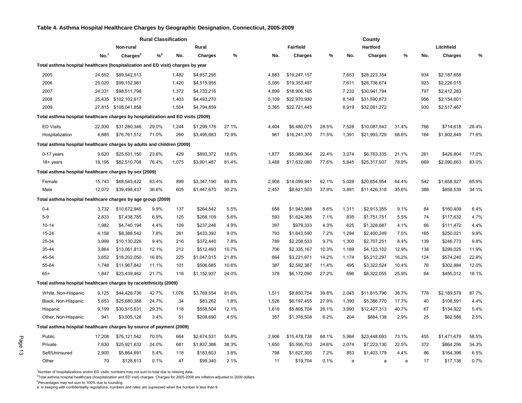#### <span id="page-13-0"></span>**Table 4. Asthma Hospital Healthcare Charges by Geographic Designation, Connecticut, 2005-2009**

|                                                                                  |                  |                      | <b>Rural Classification</b> |       |                |       |       |                  |       |       |                |       |     |                |       |
|----------------------------------------------------------------------------------|------------------|----------------------|-----------------------------|-------|----------------|-------|-------|------------------|-------|-------|----------------|-------|-----|----------------|-------|
|                                                                                  |                  | Non-rural            |                             |       | Rural          |       |       | <b>Fairfield</b> |       |       | Hartford       |       |     | Litchfield     |       |
|                                                                                  | No. <sup>1</sup> | Charges <sup>2</sup> | $% ^{3}$                    | No.   | <b>Charges</b> | %     | No.   | <b>Charges</b>   | %     | No.   | <b>Charges</b> | %     | No. | <b>Charges</b> | %     |
| Total asthma hospital healthcare (hospitalization and ED visit) charges by year  |                  |                      |                             |       |                |       |       |                  |       |       |                |       |     |                |       |
| 2005                                                                             | 24,552           | \$89,542,513         |                             | 1,482 | \$4,657,295    |       | 4,883 | \$19,247,157     |       | 7,653 | \$28,223,354   |       | 934 | \$2,187,658    |       |
| 2006                                                                             | 25,020           | \$99,152,981         |                             | 1,420 | \$4,515,955    |       | 5,085 | \$19,353,497     |       | 7,611 | \$28,736,674   |       | 923 | \$2,226,015    |       |
| 2007                                                                             | 24,331           | \$98,511,798         |                             | 1,372 | \$4,733,216    |       | 4,899 | \$18,906,165     |       | 7,232 | \$30,941,794   |       | 797 | \$2,412,283    |       |
| 2008                                                                             | 25,435           | \$102,102,617        |                             | 1,403 | \$4,493,270    |       | 5,109 | \$22,970,930     |       | 8,149 | \$31,590,873   |       | 956 | \$2,154,601    |       |
| 2009                                                                             |                  | 27,815 \$108,041,858 |                             | 1,504 | \$4,794,859    |       | 5,365 | \$22,721,445     |       | 8,919 | \$32,081,272   |       | 930 | \$2,517,467    |       |
| Total asthma hospital healthcare charges by hospitalization and ED visits (2009) |                  |                      |                             |       |                |       |       |                  |       |       |                |       |     |                |       |
| <b>ED Visits</b>                                                                 | 22,930           | \$31,280,346         | 29.0%                       | 1,244 | \$1,299,176    | 27.1% | 4,404 | \$6,480,075      | 28.5% | 7,528 | \$10,087,543   | 31.4% | 766 | \$714,618      | 28.4% |
| Hospitalization                                                                  | 4,885            | \$76,761,512         | 71.0%                       | 260   | \$3,495,683    | 72.9% | 961   | \$16,241,370     | 71.5% | 1,391 | \$21,993,729   | 68.6% | 164 | \$1,802,849    | 71.6% |
| Total asthma hospital healthcare charges by adults and children (2009)           |                  |                      |                             |       |                |       |       |                  |       |       |                |       |     |                |       |
| 0-17 years                                                                       | 9,620            | \$25,531,150         | 23.6%                       | 429   | \$893,372      | 18.6% | 1,877 | \$5,089,364      | 22.4% | 3,074 | \$6,763,335    | 21.1% | 261 | \$426,804      | 17.0% |
| 18+ years                                                                        | 18,195           | \$82,510,708         | 76.4%                       | 1,075 | \$3,901,487    | 81.4% | 3,488 | \$17,632,080     | 77.6% | 5,845 | \$25,317,937   | 78.9% | 669 | \$2,090,663    | 83.0% |
| Total asthma hospital healthcare charges by sex (2009)                           |                  |                      |                             |       |                |       |       |                  |       |       |                |       |     |                |       |
| Female                                                                           | 15,743           | \$68,543,422         | 63.4%                       | 899   | \$3,347,190    | 69.8% | 2,908 | \$14,099,941     | 62.1% | 5,028 | \$20,654,954   | 64.4% | 542 | \$1,658,927    | 65.9% |
| Male                                                                             | 12,072           | \$39,498,437         | 36.6%                       | 605   | \$1,447,670    | 30.2% | 2,457 | \$8,621,503      | 37.9% | 3,891 | \$11,426,318   | 35.6% | 388 | \$858,539      | 34.1% |
| Total asthma hospital healthcare charges by age group (2009)                     |                  |                      |                             |       |                |       |       |                  |       |       |                |       |     |                |       |
| $0 - 4$                                                                          | 3,732            | \$10,672,945         | 9.9%                        | 137   | \$264,542      | 5.5%  | 658   | \$1,943,988      | 8.6%  | 1,311 | \$2,913,355    | 9.1%  | 84  | \$160,409      | 6.4%  |
| $5-9$                                                                            | 2,833            | \$7,438,785          | 6.9%                        | 125   | \$268,109      | 5.6%  | 593   | \$1,624,385      | 7.1%  | 835   | \$1,751,751    | 5.5%  | 74  | \$117,632      | 4.7%  |
| $10 - 14$                                                                        | 1,982            | \$4,740,194          | 4.4%                        | 109   | \$237,246      | 4.9%  | 397   | \$979,333        | 4.3%  | 625   | \$1,328,687    | 4.1%  | 66  | \$111,472      | 4.4%  |
| 15-24                                                                            | 4,158            | \$8,388,542          | 7.8%                        | 261   | \$433,392      | 9.0%  | 793   | \$1,643,590      | 7.2%  | 1,294 | \$2,400,249    | 7.5%  | 165 | \$250,021      | 9.9%  |
| 25-34                                                                            | 3,999            | \$10,130,226         | 9.4%                        | 216   | \$372,440      | 7.8%  | 789   | \$2,208,533      | 9.7%  | 1,300 | \$2,707,251    | 8.4%  | 139 | \$246,773      | 9.8%  |
| 35-44                                                                            | 3,864            | \$13,061,813         | 12.1%                       | 212   | \$512,493      | 10.7% | 706   | \$2,335,167      | 10.3% | 1,189 | \$4,123,102    | 12.9% | 138 | \$299,025      | 11.9% |
| 45-54                                                                            | 3,652            | \$18,202,050         | 16.8%                       | 225   | \$1,047,015    | 21.8% | 664   | \$3,221,971      | 14.2% | 1,174 | \$5,212,297    | 16.2% | 124 | \$574,240      | 22.8% |
| 55-64                                                                            | 1,748            | \$11,967,842         | 11.1%                       | 101   | \$506,685      | 10.6% | 387   | \$2,592,387      | 11.4% | 495   | \$3,322,524    | 10.4% | 76  | \$302,884      | 12.0% |
| $65+$                                                                            | 1,847            | \$23,439,462         | 21.7%                       | 118   | \$1,152,937    | 24.0% | 378   | \$6,172,090      | 27.2% | 696   | \$8,322,055    | 25.9% | 64  | \$455,012      | 18.1% |
| Total asthma hospital healthcare charges by race/ethnicity (2009)                |                  |                      |                             |       |                |       |       |                  |       |       |                |       |     |                |       |
| White, Non-Hispanic                                                              | 9,125            | \$44,426,736         | 42.7%                       | 1,076 | \$3,769,554    | 81.6% | 1,511 | \$8,850,754      | 39.8% | 2,045 | \$11,815,796   | 38.7% | 778 | \$2,189,579    | 87.7% |
| Black, Non-Hispanic                                                              | 5,653            | \$25,680,388         | 24.7%                       | 34    | \$83,262       | 1.8%  | 1,526 | \$6,197,455      | 27.9% | 1,390 | \$5,386,770    | 17.7% | 40  | \$108,591      | 4.4%  |
| Hispanic                                                                         | 9,199            | \$30,515,631         | 29.3%                       | 118   | \$558,504      | 12.1% | 1,618 | \$5,805,704      | 26.1% | 3,990 | \$12,427,313   | 40.7% | 67  | \$134,922      | 5.4%  |
| Other, Non-Hispanic                                                              | 941              | \$3,505,128          | 3.4%                        | 51    | \$208,690      | 4.5%  | 357   | \$1,376,508      | 6.2%  | 204   | \$884,138      | 2.9%  | 25  | \$62,586       | 2.5%  |
| Total asthma hospital healthcare charges by source of payment (2009)             |                  |                      |                             |       |                |       |       |                  |       |       |                |       |     |                |       |
| Public                                                                           | 17,208           | \$76,121,542         | 70.5%                       | 664   | \$2,674,531    | 55.8% | 2,906 | \$15,478,738     | 68.1% | 5,984 | \$23,448,693   | 73.1% | 455 | \$1,471,679    | 58.5% |
| Private                                                                          | 7,630            | \$25,921,632         | 24.0%                       | 681   | \$1,837,386    | 38.3% | 1,650 | \$5,595,703      | 24.6% | 2,074 | \$7,223,130    | 22.5% | 372 | \$864,256      | 34.3% |
| Self/Uninsured                                                                   | 2,900            | \$5,864,691          | 5.4%                        | 118   | \$183,603      | 3.8%  | 798   | \$1,627,300      | 7.2%  | 853   | \$1,403,179    | 4.4%  | 86  | \$164,396      | 6.5%  |
| Other                                                                            | 70               | \$128,613            | 0.1%                        | 41    | \$99,340       | 2.1%  | 11    | \$19,704         | 0.1%  | a     | a              | а     | 17  | \$17,136       | 0.7%  |

 $1$ Number of hospitalizations and/or ED visits; numbers may not sum to total due to missing data.

2 Total asthma hospital healthcare (hospitalization and ED visit) charges. Charges for 2005-2008 are inflation-adjusted to 2009 dollars. <sup>3</sup>Percentages may not sum to 100% due to rounding.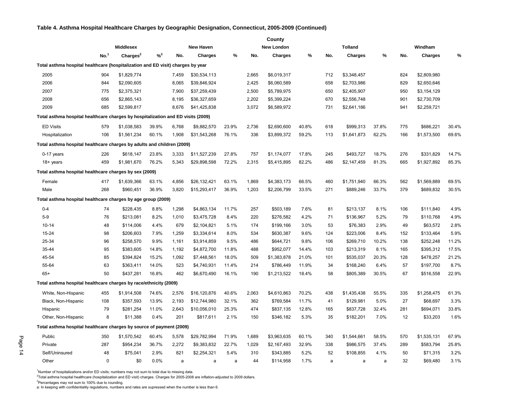#### **Table 4. Asthma Hospital Healthcare Charges by Geographic Designation, Connecticut, 2005-2009 (Continued)**

|                                                                                  | County           |                      |          |       |                  |       |       |                   |       |     |                |       |     |                |       |  |
|----------------------------------------------------------------------------------|------------------|----------------------|----------|-------|------------------|-------|-------|-------------------|-------|-----|----------------|-------|-----|----------------|-------|--|
|                                                                                  |                  | <b>Middlesex</b>     |          |       | <b>New Haven</b> |       |       | <b>New London</b> |       |     | <b>Tolland</b> |       |     | Windham        |       |  |
|                                                                                  | No. <sup>1</sup> | Charges <sup>2</sup> | $% ^{3}$ | No.   | <b>Charges</b>   | %     | No.   | <b>Charges</b>    | %     | No. | <b>Charges</b> | %     | No. | <b>Charges</b> | %     |  |
| Total asthma hospital healthcare (hospitalization and ED visit) charges by year  |                  |                      |          |       |                  |       |       |                   |       |     |                |       |     |                |       |  |
| 2005                                                                             | 904              | \$1,829,774          |          | 7,459 | \$30,534,113     |       | 2,665 | \$6,019,317       |       | 712 | \$3,348,457    |       | 824 | \$2,809,980    |       |  |
| 2006                                                                             | 844              | \$2,090,605          |          | 8,065 | \$39,846,924     |       | 2,425 | \$6,060,589       |       | 658 | \$2,703,986    |       | 829 | \$2,650,646    |       |  |
| 2007                                                                             | 775              | \$2,375,321          |          | 7,900 | \$37,259,439     |       | 2,500 | \$5,789,975       |       | 650 | \$2,405,907    |       | 950 | \$3,154,129    |       |  |
| 2008                                                                             | 656              | \$2,865,143          |          | 8,195 | \$36,327,659     |       | 2,202 | \$5,399,224       |       | 670 | \$2,556,748    |       | 901 | \$2,730,709    |       |  |
| 2009                                                                             | 685              | \$2,599,817          |          | 8,676 | \$41,425,838     |       | 3,072 | \$6,589,972       |       | 731 | \$2,641,186    |       | 941 | \$2,259,721    |       |  |
| Total asthma hospital healthcare charges by hospitalization and ED visits (2009) |                  |                      |          |       |                  |       |       |                   |       |     |                |       |     |                |       |  |
| <b>ED Visits</b>                                                                 | 579              | \$1,038,583          | 39.9%    | 6,768 | \$9,882,570      | 23.9% | 2,736 | \$2,690,600       | 40.8% | 618 | \$999,313      | 37.8% | 775 | \$686,221      | 30.4% |  |
| Hospitalization                                                                  | 106              | \$1,561,234          | 60.1%    | 1,908 | \$31,543,268     | 76.1% | 336   | \$3,899,372       | 59.2% | 113 | \$1,641,873    | 62.2% | 166 | \$1,573,500    | 69.6% |  |
| Total asthma hospital healthcare charges by adults and children (2009)           |                  |                      |          |       |                  |       |       |                   |       |     |                |       |     |                |       |  |
| 0-17 years                                                                       | 226              | \$618,147            | 23.8%    | 3,333 | \$11,527,239     | 27.8% | 757   | \$1,174,077       | 17.8% | 245 | \$493,727      | 18.7% | 276 | \$331,829      | 14.7% |  |
| 18+ years                                                                        | 459              | \$1,981,670          | 76.2%    | 5,343 | \$29,898,598     | 72.2% | 2,315 | \$5,415,895       | 82.2% | 486 | \$2,147,459    | 81.3% | 665 | \$1,927,892    | 85.3% |  |
| Total asthma hospital healthcare charges by sex (2009)                           |                  |                      |          |       |                  |       |       |                   |       |     |                |       |     |                |       |  |
| Female                                                                           | 417              | \$1,639,366          | 63.1%    | 4,856 | \$26,132,421     | 63.1% | 1,869 | \$4,383,173       | 66.5% | 460 | \$1,751,940    | 66.3% | 562 | \$1,569,889    | 69.5% |  |
| Male                                                                             | 268              | \$960,451            | 36.9%    | 3,820 | \$15,293,417     | 36.9% | 1,203 | \$2,206,799       | 33.5% | 271 | \$889,246      | 33.7% | 379 | \$689,832      | 30.5% |  |
| Total asthma hospital healthcare charges by age group (2009)                     |                  |                      |          |       |                  |       |       |                   |       |     |                |       |     |                |       |  |
| $0 - 4$                                                                          | 74               | \$228,435            | 8.8%     | 1,298 | \$4,863,134      | 11.7% | 257   | \$503,189         | 7.6%  | 81  | \$213,137      | 8.1%  | 106 | \$111,840      | 4.9%  |  |
| $5-9$                                                                            | 76               | \$213,081            | 8.2%     | 1,010 | \$3,475,728      | 8.4%  | 220   | \$276,582         | 4.2%  | 71  | \$136,967      | 5.2%  | 79  | \$110,768      | 4.9%  |  |
| $10 - 14$                                                                        | 48               | \$114,006            | 4.4%     | 679   | \$2,104,821      | 5.1%  | 174   | \$199,166         | 3.0%  | 53  | \$76,383       | 2.9%  | 49  | \$63,572       | 2.8%  |  |
| 15-24                                                                            | 98               | \$206,603            | 7.9%     | 1,259 | \$3,334,614      | 8.0%  | 534   | \$630,387         | 9.6%  | 124 | \$223,006      | 8.4%  | 152 | \$133,464      | 5.9%  |  |
| 25-34                                                                            | 96               | \$258,570            | 9.9%     | 1,161 | \$3,914,859      | 9.5%  | 486   | \$644,721         | 9.8%  | 106 | \$269,710      | 10.2% | 138 | \$252,248      | 11.2% |  |
| 35-44                                                                            | 95               | \$383,605            | 14.8%    | 1,192 | \$4,872,700      | 11.8% | 488   | \$952,077         | 14.4% | 103 | \$213,319      | 8.1%  | 165 | \$395,312      | 17.5% |  |
| 45-54                                                                            | 85               | \$394,824            | 15.2%    | 1,092 | \$7,448,561      | 18.0% | 509   | \$1,383,878       | 21.0% | 101 | \$535,037      | 20.3% | 128 | \$478,257      | 21.2% |  |
| 55-64                                                                            | 63               | \$363,411            | 14.0%    | 523   | \$4,740,931      | 11.4% | 214   | \$786,449         | 11.9% | 34  | \$168,240      | 6.4%  | 57  | \$197,700      | 8.7%  |  |
| $65+$                                                                            | 50               | \$437,281            | 16.8%    | 462   | \$6,670,490      | 16.1% | 190   | \$1,213,522       | 18.4% | 58  | \$805,389      | 30.5% | 67  | \$516,558      | 22.9% |  |
| Total asthma hospital healthcare charges by race/ethnicity (2009)                |                  |                      |          |       |                  |       |       |                   |       |     |                |       |     |                |       |  |
| White, Non-Hispanic                                                              | 455              | \$1,914,508          | 74.6%    | 2,576 | \$16,120,876     | 40.6% | 2,063 | \$4,610,863       | 70.2% | 438 | \$1,435,438    | 55.5% | 335 | \$1,258,475    | 61.3% |  |
| Black, Non-Hispanic                                                              | 108              | \$357,593            | 13.9%    | 2.193 | \$12,744,980     | 32.1% | 362   | \$769,584         | 11.7% | 41  | \$129,981      | 5.0%  | 27  | \$68,697       | 3.3%  |  |
| Hispanic                                                                         | 79               | \$281,254            | 11.0%    | 2,643 | \$10,056,010     | 25.3% | 474   | \$837,135         | 12.8% | 165 | \$837,728      | 32.4% | 281 | \$694,071      | 33.8% |  |
| Other, Non-Hispanic                                                              | 8                | \$11,388             | 0.4%     | 201   | \$817,611        | 2.1%  | 150   | \$346,182         | 5.3%  | 35  | \$182,201      | 7.0%  | 12  | \$33,203       | 1.6%  |  |
| Total asthma hospital healthcare charges by source of payment (2009)             |                  |                      |          |       |                  |       |       |                   |       |     |                |       |     |                |       |  |
| Public                                                                           | 350              | \$1,570,542          | 60.4%    | 5,578 | \$29,782,994     | 71.9% | 1,689 | \$3,963,635       | 60.1% | 340 | \$1,544,661    | 58.5% | 570 | \$1,535,131    | 67.9% |  |
| Private                                                                          | 287              | \$954,234            | 36.7%    | 2,272 | \$9,383,832      | 22.7% | 1,029 | \$2,167,493       | 32.9% | 338 | \$986,575      | 37.4% | 289 | \$583,794      | 25.8% |  |
| Self/Uninsured                                                                   | 48               | \$75,041             | 2.9%     | 821   | \$2,254,321      | 5.4%  | 310   | \$343,885         | 5.2%  | 52  | \$108,855      | 4.1%  | 50  | \$71,315       | 3.2%  |  |
| Other                                                                            | $\Omega$         | \$0                  | 0.0%     | a     | a                | a     | 44    | \$114,958         | 1.7%  | a   | a              | a     | 32  | \$69,480       | 3.1%  |  |

 $1$ Number of hospitalizations and/or ED visits; numbers may not sum to total due to missing data.

2 Total asthma hospital healthcare (hospitalization and ED visit) charges. Charges for 2005-2008 are inflation-adjusted to 2009 dollars.

<sup>3</sup>Percentages may not sum to 100% due to rounding.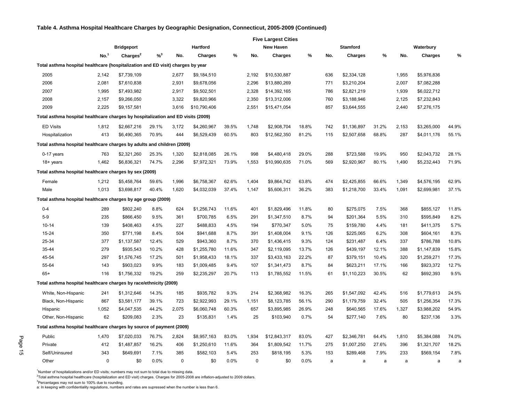#### **Table 4. Asthma Hospital Healthcare Charges by Geographic Designation, Connecticut, 2005-2009 (Continued)**

|                                                                                  |                  |                      |          |             |                |       |             |                  | <b>Five Largest Cities</b> |     |                 |       |       |                |       |  |
|----------------------------------------------------------------------------------|------------------|----------------------|----------|-------------|----------------|-------|-------------|------------------|----------------------------|-----|-----------------|-------|-------|----------------|-------|--|
|                                                                                  |                  | <b>Bridgeport</b>    |          |             | Hartford       |       |             | <b>New Haven</b> |                            |     | <b>Stamford</b> |       |       | Waterbury      |       |  |
|                                                                                  | No. <sup>1</sup> | Charges <sup>2</sup> | $% ^{3}$ | No.         | <b>Charges</b> | %     | No.         | <b>Charges</b>   | %                          | No. | <b>Charges</b>  | %     | No.   | <b>Charges</b> | $\%$  |  |
| Total asthma hospital healthcare (hospitalization and ED visit) charges by year  |                  |                      |          |             |                |       |             |                  |                            |     |                 |       |       |                |       |  |
| 2005                                                                             | 2,142            | \$7,739,109          |          | 2,677       | \$9,184,510    |       | 2,192       | \$10,530,887     |                            | 636 | \$2,334,128     |       | 1,955 | \$5,976,836    |       |  |
| 2006                                                                             | 2,081            | \$7,610,838          |          | 2,931       | \$9,678,056    |       | 2,296       | \$13,880,269     |                            | 771 | \$3,210,204     |       | 2,007 | \$7,082,288    |       |  |
| 2007                                                                             | 1,995            | \$7,493,982          |          | 2,917       | \$9,502,501    |       | 2,328       | \$14,392,165     |                            | 786 | \$2,821,219     |       | 1,939 | \$6,022,712    |       |  |
| 2008                                                                             | 2,157            | \$9,266,050          |          | 3,322       | \$9,820,966    |       | 2,350       | \$13,312,006     |                            | 760 | \$3,188,946     |       | 2,125 | \$7,232,843    |       |  |
| 2009                                                                             | 2,225            | \$9,157,581          |          | 3,616       | \$10,790,406   |       | 2,551       | \$15,471,054     |                            | 857 | \$3,644,555     |       | 2,440 | \$7,276,175    |       |  |
| Total asthma hospital healthcare charges by hospitalization and ED visits (2009) |                  |                      |          |             |                |       |             |                  |                            |     |                 |       |       |                |       |  |
| <b>ED Visits</b>                                                                 | 1,812            | \$2,667,216          | 29.1%    | 3,172       | \$4,260,967    | 39.5% | 1,748       | \$2,908,704      | 18.8%                      | 742 | \$1,136,897     | 31.2% | 2,153 | \$3,265,000    | 44.9% |  |
| Hospitalization                                                                  | 413              | \$6,490,365          | 70.9%    | 444         | \$6,529,439    | 60.5% | 803         | \$12,562,350     | 81.2%                      | 115 | \$2,507,658     | 68.8% | 287   | \$4,011,176    | 55.1% |  |
| Total asthma hospital healthcare charges by adults and children (2009)           |                  |                      |          |             |                |       |             |                  |                            |     |                 |       |       |                |       |  |
| 0-17 years                                                                       | 763              | \$2,321,260          | 25.3%    | 1,320       | \$2,818,085    | 26.1% | 998         | \$4,480,418      | 29.0%                      | 288 | \$723,588       | 19.9% | 950   | \$2,043,732    | 28.1% |  |
| $18 + \text{years}$                                                              | 1,462            | \$6,836,321          | 74.7%    | 2,296       | \$7,972,321    | 73.9% | 1,553       | \$10,990,635     | 71.0%                      | 569 | \$2,920,967     | 80.1% | 1,490 | \$5,232,443    | 71.9% |  |
| Total asthma hospital healthcare charges by sex (2009)                           |                  |                      |          |             |                |       |             |                  |                            |     |                 |       |       |                |       |  |
| Female                                                                           | 1,212            | \$5,458,764          | 59.6%    | 1,996       | \$6,758,367    | 62.6% | 1,404       | \$9,864,742      | 63.8%                      | 474 | \$2,425,855     | 66.6% | 1,349 | \$4,576,195    | 62.9% |  |
| Male                                                                             | 1,013            | \$3,698,817          | 40.4%    | 1,620       | \$4,032,039    | 37.4% | 1,147       | \$5,606,311      | 36.2%                      | 383 | \$1,218,700     | 33.4% | 1,091 | \$2,699,981    | 37.1% |  |
| Total asthma hospital healthcare charges by age group (2009)                     |                  |                      |          |             |                |       |             |                  |                            |     |                 |       |       |                |       |  |
| $0 - 4$                                                                          | 289              | \$802,240            | 8.8%     | 624         | \$1,256,743    | 11.6% | 401         | \$1,829,496      | 11.8%                      | 80  | \$275,075       | 7.5%  | 368   | \$855,127      | 11.8% |  |
| $5-9$                                                                            | 235              | \$866,450            | 9.5%     | 361         | \$700,785      | 6.5%  | 291         | \$1,347,510      | 8.7%                       | 94  | \$201,364       | 5.5%  | 310   | \$595,849      | 8.2%  |  |
| $10 - 14$                                                                        | 139              | \$408,463            | 4.5%     | 227         | \$488,833      | 4.5%  | 194         | \$770,347        | 5.0%                       | 75  | \$159,780       | 4.4%  | 181   | \$411,375      | 5.7%  |  |
| 15-24                                                                            | 350              | \$771,198            | 8.4%     | 504         | \$941,688      | 8.7%  | 391         | \$1,408,004      | 9.1%                       | 126 | \$225,065       | 6.2%  | 308   | \$604,161      | 8.3%  |  |
| 25-34                                                                            | 377              | \$1,137,587          | 12.4%    | 529         | \$943,360      | 8.7%  | 370         | \$1,436,415      | 9.3%                       | 124 | \$231,487       | 6.4%  | 337   | \$786,788      | 10.8% |  |
| 35-44                                                                            | 279              | \$935,543            | 10.2%    | 428         | \$1,255,780    | 11.6% | 347         | \$2,119,095      | 13.7%                      | 126 | \$439,197       | 12.1% | 388   | \$1,147,839    | 15.8% |  |
| 45-54                                                                            | 297              | \$1,576,745          | 17.2%    | 501         | \$1,958,433    | 18.1% | 337         | \$3,433,163      | 22.2%                      | 87  | \$379,151       | 10.4% | 320   | \$1,259,271    | 17.3% |  |
| 55-64                                                                            | 143              | \$903,023            | 9.9%     | 183         | \$1,009,485    | 9.4%  | 107         | \$1,341,473      | 8.7%                       | 84  | \$623,211       | 17.1% | 166   | \$923,372      | 12.7% |  |
| $65+$                                                                            | 116              | \$1,756,332          | 19.2%    | 259         | \$2,235,297    | 20.7% | 113         | \$1,785,552      | 11.5%                      | 61  | \$1,110,223     | 30.5% | 62    | \$692,393      | 9.5%  |  |
| Total asthma hospital healthcare charges by race/ethnicity (2009)                |                  |                      |          |             |                |       |             |                  |                            |     |                 |       |       |                |       |  |
| White, Non-Hispanic                                                              | 241              | \$1,312,646          | 14.3%    | 185         | \$935,782      | 9.3%  | 214         | \$2,368,982      | 16.3%                      | 265 | \$1,547,092     | 42.4% | 516   | \$1,779,613    | 24.5% |  |
| Black, Non-Hispanic                                                              | 867              | \$3,581,177          | 39.1%    | 723         | \$2,922,993    | 29.1% | 1,151       | \$8,123,785      | 56.1%                      | 290 | \$1,179,759     | 32.4% | 505   | \$1,256,354    | 17.3% |  |
| Hispanic                                                                         | 1,052            | \$4,047,535          | 44.2%    | 2,075       | \$6,060,748    | 60.3% | 657         | \$3,895,985      | 26.9%                      | 248 | \$640,565       | 17.6% | 1,327 | \$3,988,202    | 54.9% |  |
| Other, Non-Hispanic                                                              | 62               | \$209,083            | 2.3%     | 23          | \$135,831      | 1.4%  | 25          | \$103,940        | 0.7%                       | 54  | \$277,140       | 7.6%  | 80    | \$237,136      | 3.3%  |  |
| Total asthma hospital healthcare charges by source of payment (2009)             |                  |                      |          |             |                |       |             |                  |                            |     |                 |       |       |                |       |  |
| Public                                                                           | 1,470            | \$7,020,033          | 76.7%    | 2,824       | \$8,957,163    | 83.0% | 1,934       | \$12,843,317     | 83.0%                      | 427 | \$2,346,781     | 64.4% | 1,810 | \$5,384,088    | 74.0% |  |
| Private                                                                          | 412              | \$1,487,857          | 16.2%    | 406         | \$1,250,610    | 11.6% | 364         | \$1,809,542      | 11.7%                      | 275 | \$1,007,250     | 27.6% | 396   | \$1,321,707    | 18.2% |  |
| Self/Uninsured                                                                   | 343              | \$649,691            | 7.1%     | 385         | \$582.103      | 5.4%  | 253         | \$818,195        | 5.3%                       | 153 | \$289.468       | 7.9%  | 233   | \$569,154      | 7.8%  |  |
| Other                                                                            | 0                | \$0                  | 0.0%     | $\mathbf 0$ | \$0            | 0.0%  | $\mathbf 0$ | \$0              | 0.0%                       | a   | a               | a     | a     | a              | a     |  |

 $1$ Number of hospitalizations and/or ED visits; numbers may not sum to total due to missing data.

2 Total asthma hospital healthcare (hospitalization and ED visit) charges. Charges for 2005-2008 are inflation-adjusted to 2009 dollars.

<sup>3</sup>Percentages may not sum to 100% due to rounding.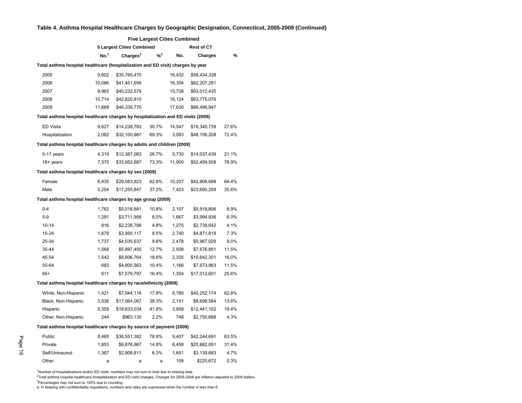#### **Table 4. Asthma Hospital Healthcare Charges by Geographic Designation, Connecticut, 2005-2009 (Continued)**

|                                                                                  | <b>Five Largest Cities Combined</b> |                           |                            |        |                   |       |  |  |  |  |  |  |
|----------------------------------------------------------------------------------|-------------------------------------|---------------------------|----------------------------|--------|-------------------|-------|--|--|--|--|--|--|
|                                                                                  |                                     | 5 Largest Cities Combined |                            |        | <b>Rest of CT</b> |       |  |  |  |  |  |  |
|                                                                                  | No. <sup>1</sup>                    | Charges <sup>2</sup>      | $\frac{9}{6}$ <sup>3</sup> | No.    | <b>Charges</b>    | %     |  |  |  |  |  |  |
| Total asthma hospital healthcare (hospitalization and ED visit) charges by year  |                                     |                           |                            |        |                   |       |  |  |  |  |  |  |
| 2005                                                                             | 9,602                               | \$35,765,470              |                            | 16,432 | \$58,434,338      |       |  |  |  |  |  |  |
| 2006                                                                             | 10,086                              | \$41,461,656              |                            | 16,354 | \$62,207,281      |       |  |  |  |  |  |  |
| 2007                                                                             | 9,965                               | \$40,232,579              |                            | 15,738 | \$63,012,435      |       |  |  |  |  |  |  |
| 2008                                                                             | 10,714                              | \$42,820,810              |                            | 16,124 | \$63,775,076      |       |  |  |  |  |  |  |
| 2009                                                                             | 11,689                              | \$46,339,770              |                            | 17,630 | \$66,496,947      |       |  |  |  |  |  |  |
| Total asthma hospital healthcare charges by hospitalization and ED visits (2009) |                                     |                           |                            |        |                   |       |  |  |  |  |  |  |
| <b>ED Visits</b>                                                                 | 9,627                               | \$14,238,783              | 30.7%                      | 14,547 | \$18,340,739      | 27.6% |  |  |  |  |  |  |
| Hospitalization                                                                  | 2,062                               | \$32,100,987              | 69.3%                      | 3,083  | \$48,156,208      | 72.4% |  |  |  |  |  |  |
| Total asthma hospital healthcare charges by adults and children (2009)           |                                     |                           |                            |        |                   |       |  |  |  |  |  |  |
| 0-17 years                                                                       | 4,319                               | \$12,387,083              | 26.7%                      | 5,730  | \$14,037,439      | 21.1% |  |  |  |  |  |  |
| 18+ years                                                                        | 7,370                               | \$33,952,687              | 73.3%                      | 11,900 | \$52,459,508      | 78.9% |  |  |  |  |  |  |
| Total asthma hospital healthcare charges by sex (2009)                           |                                     |                           |                            |        |                   |       |  |  |  |  |  |  |
| Female                                                                           | 6,435                               | \$29,083,923              | 62.8%                      | 10,207 | \$42,806,688      | 64.4% |  |  |  |  |  |  |
| Male                                                                             | 5.254                               | \$17,255,847              | 37.2%                      | 7.423  | \$23,690,259      | 35.6% |  |  |  |  |  |  |
| Total asthma hospital healthcare charges by age group (2009)                     |                                     |                           |                            |        |                   |       |  |  |  |  |  |  |
| $0 - 4$                                                                          | 1,762                               | \$5,018,681               | 10.8%                      | 2,107  | \$5,918,806       | 8.9%  |  |  |  |  |  |  |
| $5-9$                                                                            | 1,291                               | \$3,711,958               | 8.0%                       | 1,667  | \$3,994,936       | 6.0%  |  |  |  |  |  |  |
| $10 - 14$                                                                        | 816                                 | \$2,238,798               | 4.8%                       | 1,275  | \$2,738,642       | 4.1%  |  |  |  |  |  |  |
| 15-24                                                                            | 1,679                               | \$3,950,117               | 8.5%                       | 2,740  | \$4,871,818       | 7.3%  |  |  |  |  |  |  |
| 25-34                                                                            | 1,737                               | \$4,535,637               | 9.8%                       | 2,478  | \$5,967,029       | 9.0%  |  |  |  |  |  |  |
| 35-44                                                                            | 1,568                               | \$5,897,455               | 12.7%                      | 2,508  | \$7,676,851       | 11.5% |  |  |  |  |  |  |
| 45-54                                                                            | 1,542                               | \$8,606,764               | 18.6%                      | 2,335  | \$10,642,301      | 16.0% |  |  |  |  |  |  |
| 55-64                                                                            | 683                                 | \$4,800,563               | 10.4%                      | 1,166  | \$7,673,963       | 11.5% |  |  |  |  |  |  |
| $65+$                                                                            | 611                                 | \$7,579,797               | 16.4%                      | 1,354  | \$17,012,601      | 25.6% |  |  |  |  |  |  |
| Total asthma hospital healthcare charges by race/ethnicity (2009)                |                                     |                           |                            |        |                   |       |  |  |  |  |  |  |
| White, Non-Hispanic                                                              | 1,421                               | \$7,944,116               | 17.8%                      | 8,780  | \$40,252,174      | 62.8% |  |  |  |  |  |  |
| Black, Non-Hispanic                                                              | 3,536                               | \$17,064,067              | 38.3%                      | 2,151  | \$8,699,584       | 13.6% |  |  |  |  |  |  |
| Hispanic                                                                         | 5,359                               | \$18,633,034              | 41.8%                      | 3,958  | \$12,441,102      | 19.4% |  |  |  |  |  |  |
| Other, Non-Hispanic                                                              | 244                                 | \$963,130                 | 2.2%                       | 748    | \$2,750,688       | 4.3%  |  |  |  |  |  |  |
| Total asthma hospital healthcare charges by source of payment (2009)             |                                     |                           |                            |        |                   |       |  |  |  |  |  |  |
| Public                                                                           | 8,465                               | \$36,551,382              | 78.9%                      | 9,407  | \$42,244,691      | 63.5% |  |  |  |  |  |  |
| Private                                                                          | 1,853                               | \$6,876,967               | 14.8%                      | 6,458  | \$20,882,051      | 31.4% |  |  |  |  |  |  |
| Self/Uninsured                                                                   | 1,367                               | \$2,908,611               | 6.3%                       | 1,651  | \$3,139,683       | 4.7%  |  |  |  |  |  |  |
| Other                                                                            | a                                   | a                         | a                          | 108    | \$225,672         | 0.3%  |  |  |  |  |  |  |
|                                                                                  |                                     |                           |                            |        |                   |       |  |  |  |  |  |  |

<sup>1</sup>Number of hospitalizations and/or ED visits; numbers may not sum to total due to missing data.

2 Total asthma hospital healthcare (hospitalization and ED visit) charges. Charges for 2005-2008 are inflation-adjusted to 2009 dollars. <sup>3</sup>Percentages may not sum to 100% due to rounding.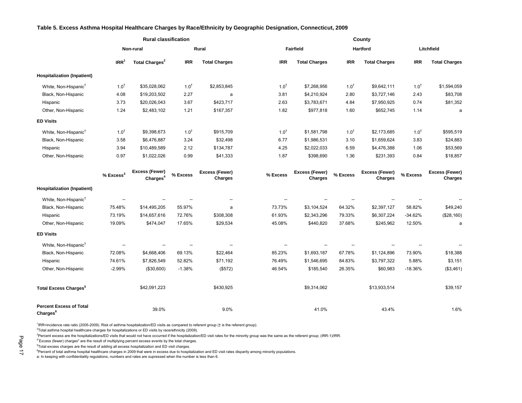#### <span id="page-17-0"></span>**Table 5. Excess Asthma Hospital Healthcare Charges by Race/Ethnicity by Geographic Designation, Connecticut, 2009**

|                                                        |                          | <b>Rural classification</b>                   |                          |                                  |                 |                                  |                 | County                    |                 |                                  |
|--------------------------------------------------------|--------------------------|-----------------------------------------------|--------------------------|----------------------------------|-----------------|----------------------------------|-----------------|---------------------------|-----------------|----------------------------------|
|                                                        |                          | Non-rural                                     |                          | Rural                            |                 | <b>Fairfield</b>                 |                 | Hartford                  |                 | Litchfield                       |
|                                                        | IRR <sup>1</sup>         | Total Charges <sup>2</sup>                    | <b>IRR</b>               | <b>Total Charges</b>             | <b>IRR</b>      | <b>Total Charges</b>             | <b>IRR</b>      | <b>Total Charges</b>      | <b>IRR</b>      | <b>Total Charges</b>             |
| <b>Hospitalization (Inpatient)</b>                     |                          |                                               |                          |                                  |                 |                                  |                 |                           |                 |                                  |
| White, Non-Hispanic <sup>†</sup>                       | $1.0^{+}$                | \$35,028,062                                  | 1.0 <sup>†</sup>         | \$2,853,845                      | $1.0^{\dagger}$ | \$7,268,956                      | $1.0^{\dagger}$ | \$9,642,111               | $1.0^{\dagger}$ | \$1,594,059                      |
| Black, Non-Hispanic                                    | 4.08                     | \$19,203,502                                  | 2.27                     | a                                | 3.81            | \$4,210,924                      | 2.80            | \$3,727,146               | 2.43            | \$83,708                         |
| Hispanic                                               | 3.73                     | \$20,026,043                                  | 3.67                     | \$423,717                        | 2.63            | \$3,783,671                      | 4.84            | \$7,950,925               | 0.74            | \$81,352                         |
| Other, Non-Hispanic                                    | 1.24                     | \$2,483,102                                   | 1.21                     | \$167,357                        | 1.82            | \$977,818                        | 1.60            | \$652,745                 | 1.14            | a                                |
| <b>ED Visits</b>                                       |                          |                                               |                          |                                  |                 |                                  |                 |                           |                 |                                  |
| White, Non-Hispanic <sup>†</sup>                       | $1.0^{+}$                | \$9,398,673                                   | 1.0 <sup>†</sup>         | \$915,709                        | $1.0^{+}$       | \$1,581,798                      | $1.0^{+}$       | \$2,173,685               | $1.0^{+}$       | \$595,519                        |
| Black, Non-Hispanic                                    | 3.58                     | \$6,476,887                                   | 3.24                     | \$32,498                         | 6.77            | \$1,986,531                      | 3.10            | \$1,659,624               | 3.83            | \$24,883                         |
| Hispanic                                               | 3.94                     | \$10,489,589                                  | 2.12                     | \$134,787                        | 4.25            | \$2,022,033                      | 6.59            | \$4,476,388               | 1.06            | \$53,569                         |
| Other, Non-Hispanic                                    | 0.97                     | \$1,022,026                                   | 0.99                     | \$41,333                         | 1.87            | \$398,690                        | 1.36            | \$231,393                 | 0.84            | \$18,857                         |
|                                                        | $%$ Excess <sup>3</sup>  | <b>Excess (Fewer)</b><br>Charges <sup>4</sup> | % Excess                 | <b>Excess (Fewer)</b><br>Charges | % Excess        | <b>Excess (Fewer)</b><br>Charges | % Excess        | Excess (Fewer)<br>Charges | % Excess        | Excess (Fewer)<br><b>Charges</b> |
| <b>Hospitalization (Inpatient)</b>                     |                          |                                               |                          |                                  |                 |                                  |                 |                           |                 |                                  |
| White, Non-Hispanic <sup>†</sup>                       | --                       | $\overline{\phantom{a}}$                      | $\overline{\phantom{a}}$ | ۰.                               | --              | $\overline{\phantom{a}}$         |                 | $\overline{a}$            |                 |                                  |
| Black, Non-Hispanic                                    | 75.48%                   | \$14,495,205                                  | 55.97%                   | a                                | 73.73%          | \$3,104,524                      | 64.32%          | \$2,397,127               | 58.82%          | \$49,240                         |
| Hispanic                                               | 73.19%                   | \$14,657,616                                  | 72.76%                   | \$308,308                        | 61.93%          | \$2,343,296                      | 79.33%          | \$6,307,224               | $-34.62%$       | (\$28,160)                       |
| Other, Non-Hispanic                                    | 19.09%                   | \$474,047                                     | 17.65%                   | \$29,534                         | 45.08%          | \$440,820                        | 37.68%          | \$245,962                 | 12.50%          | a                                |
| <b>ED Visits</b>                                       |                          |                                               |                          |                                  |                 |                                  |                 |                           |                 |                                  |
| White, Non-Hispanic <sup>†</sup>                       | $\overline{\phantom{a}}$ | $\overline{\phantom{a}}$                      | $\overline{\phantom{a}}$ | --                               | н.              | $\overline{\phantom{a}}$         | --              | $\overline{\phantom{a}}$  | --              |                                  |
| Black, Non-Hispanic                                    | 72.08%                   | \$4,668,406                                   | 69.13%                   | \$22,464                         | 85.23%          | \$1,693,187                      | 67.78%          | \$1,124,896               | 73.90%          | \$18,388                         |
| Hispanic                                               | 74.61%                   | \$7,826,549                                   | 52.82%                   | \$71,192                         | 76.49%          | \$1,546,695                      | 84.83%          | \$3,797,322               | 5.88%           | \$3,151                          |
| Other, Non-Hispanic                                    | $-2.99%$                 | (\$30,600)                                    | $-1.38%$                 | (\$572)                          | 46.54%          | \$185,540                        | 26.35%          | \$60,983                  | $-18.36%$       | (\$3,461)                        |
| <b>Total Excess Charges<sup>5</sup></b>                |                          | \$42,091,223                                  |                          | \$430,925                        |                 | \$9,314,062                      |                 | \$13,933,514              |                 | \$39,157                         |
| <b>Percent Excess of Total</b><br>Charges <sup>6</sup> |                          | 39.0%                                         |                          | 9.0%                             |                 | 41.0%                            |                 | 43.4%                     |                 | 1.6%                             |

1 IRR=incidence rate ratio (2005-2009). Risk of asthma hospitalization/ED visits as compared to referent group († is the referent group).

 ${}^{2}$ Total asthma hospital healthcare charges for hospitalizations or ED visits by race/ethnicity (2009).

<sup>3</sup>Percent excess are the hospitalizations/ED visits that would not have occurred if the hospitalization/ED visit rates for the minority group was the same as the referent group; (IRR-1)/IRR.

4"Excess (fewer) charges" are the result of multiplying percent excess events by the total charges.

<sup>5</sup>Total excess charges are the result of adding all excess hospitalization and ED visit charges.

<sup>6</sup>Percent of total asthma hospital healthcare charges in 2009 that were in excess due to hospitalization and ED visit rates disparity among minority populations.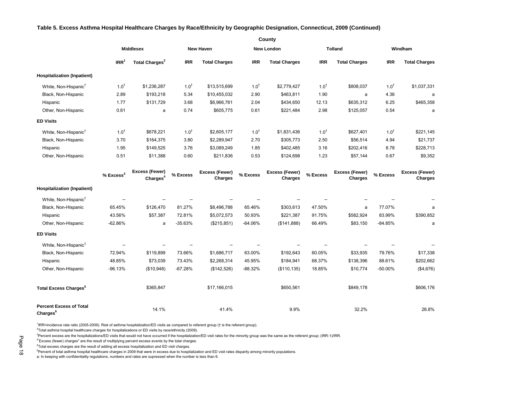#### **Table 5. Excess Asthma Hospital Healthcare Charges by Race/Ethnicity by Geographic Designation, Connecticut, 2009 (Continued)**

|                                         | County                  |                                        |                  |                           |                   |                                  |                |                           |                  |                                  |
|-----------------------------------------|-------------------------|----------------------------------------|------------------|---------------------------|-------------------|----------------------------------|----------------|---------------------------|------------------|----------------------------------|
|                                         | <b>Middlesex</b>        |                                        | <b>New Haven</b> |                           | <b>New London</b> |                                  | <b>Tolland</b> |                           | Windham          |                                  |
|                                         | IRR <sup>1</sup>        | Total Charges <sup>2</sup>             | <b>IRR</b>       | <b>Total Charges</b>      | <b>IRR</b>        | <b>Total Charges</b>             | <b>IRR</b>     | <b>Total Charges</b>      | <b>IRR</b>       | <b>Total Charges</b>             |
| <b>Hospitalization (Inpatient)</b>      |                         |                                        |                  |                           |                   |                                  |                |                           |                  |                                  |
| White, Non-Hispanic <sup>†</sup>        | $1.0^{\dagger}$         | \$1,236,287                            | $1.0^{+}$        | \$13,515,699              | $1.0^{+}$         | \$2,779,427                      | $1.0^{+}$      | \$808,037                 | $1.0^{+}$        | \$1,037,331                      |
| Black, Non-Hispanic                     | 2.89                    | \$193,218                              | 5.34             | \$10,455,032              | 2.90              | \$463,811                        | 1.90           | a                         | 4.36             | a                                |
| Hispanic                                | 1.77                    | \$131,729                              | 3.68             | \$6,966,761               | 2.04              | \$434,650                        | 12.13          | \$635,312                 | 6.25             | \$465,358                        |
| Other, Non-Hispanic                     | 0.61                    | a                                      | 0.74             | \$605,775                 | 0.61              | \$221,484                        | 2.98           | \$125,057                 | 0.54             | a                                |
| <b>ED Visits</b>                        |                         |                                        |                  |                           |                   |                                  |                |                           |                  |                                  |
| White, Non-Hispanic <sup>†</sup>        | $1.0^{+}$               | \$678,221                              | 1.0 <sup>†</sup> | \$2,605,177               | $1.0^{+}$         | \$1,831,436                      | $1.0^{+}$      | \$627,401                 | 1.0 <sup>†</sup> | \$221,145                        |
| Black, Non-Hispanic                     | 3.70                    | \$164,375                              | 3.80             | \$2,289,947               | 2.70              | \$305,773                        | 2.50           | \$56,514                  | 4.94             | \$21,737                         |
| Hispanic                                | 1.95                    | \$149,525                              | 3.76             | \$3,089,249               | 1.85              | \$402,485                        | 3.16           | \$202,416                 | 8.78             | \$228,713                        |
| Other, Non-Hispanic                     | 0.51                    | \$11,388                               | 0.60             | \$211,836                 | 0.53              | \$124,698                        | 1.23           | \$57,144                  | 0.67             | \$9,352                          |
|                                         | $%$ Excess <sup>3</sup> | Excess (Fewer)<br>Charges <sup>4</sup> | % Excess         | Excess (Fewer)<br>Charges | % Excess          | <b>Excess (Fewer)</b><br>Charges | % Excess       | Excess (Fewer)<br>Charges | % Excess         | Excess (Fewer)<br><b>Charges</b> |
| <b>Hospitalization (Inpatient)</b>      |                         |                                        |                  |                           |                   |                                  |                |                           |                  |                                  |
| White, Non-Hispanic <sup>†</sup>        |                         |                                        |                  |                           |                   |                                  |                |                           |                  |                                  |
| Black, Non-Hispanic                     | 65.45%                  | \$126,470                              | 81.27%           | \$8,496,788               | 65.46%            | \$303,613                        | 47.50%         | a                         | 77.07%           | a                                |
| Hispanic                                | 43.56%                  | \$57,387                               | 72.81%           | \$5,072,573               | 50.93%            | \$221,387                        | 91.75%         | \$582,924                 | 83.99%           | \$390,852                        |
| Other, Non-Hispanic                     | -62.86%                 | a                                      | $-35.63%$        | (\$215,851)               | -64.06%           | (\$141,888)                      | 66.49%         | \$83,150                  | $-84.85%$        | a                                |
| <b>ED Visits</b>                        |                         |                                        |                  |                           |                   |                                  |                |                           |                  |                                  |
| White, Non-Hispanic <sup>†</sup>        |                         |                                        |                  |                           | $\overline{a}$    |                                  |                |                           |                  |                                  |
| Black, Non-Hispanic                     | 72.94%                  | \$119,899                              | 73.66%           | \$1,686,717               | 63.00%            | \$192,643                        | 60.05%         | \$33,935                  | 79.76%           | \$17,338                         |
| Hispanic                                | 48.85%                  | \$73,039                               | 73.43%           | \$2,268,314               | 45.95%            | \$184,941                        | 68.37%         | \$138,396                 | 88.61%           | \$202,662                        |
| Other, Non-Hispanic                     | $-96.13%$               | (\$10,948)                             | $-67.28%$        | (\$142,526)               | $-88.32%$         | (\$110, 135)                     | 18.85%         | \$10,774                  | $-50.00%$        | (\$4,676)                        |
| <b>Total Excess Charges<sup>5</sup></b> |                         | \$365,847                              |                  | \$17,166,015              |                   | \$650,561                        |                | \$849,178                 |                  | \$606,176                        |
| <b>Percent Excess of Total</b>          |                         | 14.1%                                  |                  | 41.4%                     |                   | 9.9%                             |                | 32.2%                     |                  | 26.8%                            |

1 IRR=incidence rate ratio (2005-2009). Risk of asthma hospitalization/ED visits as compared to referent group († is the referent group).

 ${}^{2}$ Total asthma hospital healthcare charges for hospitalizations or ED visits by race/ethnicity (2009).

<sup>3</sup>Percent excess are the hospitalizations/ED visits that would not have occurred if the hospitalization/ED visit rates for the minority group was the same as the referent group; (IRR-1)/IRR.

4"Excess (fewer) charges" are the result of multiplying percent excess events by the total charges.

<sup>5</sup>Total excess charges are the result of adding all excess hospitalization and ED visit charges.

<sup>6</sup>Percent of total asthma hospital healthcare charges in 2009 that were in excess due to hospitalization and ED visit rates disparity among minority populations.

a: In keeping with confidentiality regulations, numbers and rates are supressed when the number is less than 6.

**Charges<sup>6</sup>**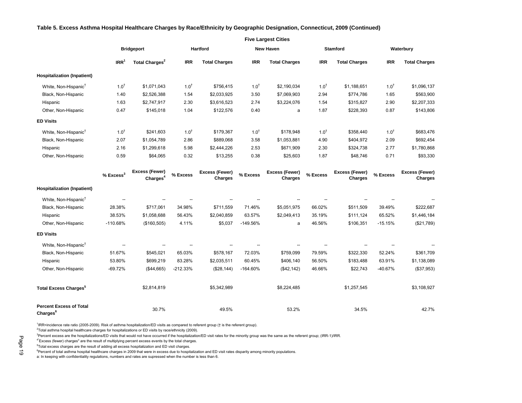#### **Table 5. Excess Asthma Hospital Healthcare Charges by Race/Ethnicity by Geographic Designation, Connecticut, 2009 (Continued)**

#### **Five Largest Cities**

30.7% 49.5% 53.2% 34.5% 42.7%

\$8,224,485 \$1,257,545 \$3,108,927

|                                    | <b>Bridgeport</b>       |                                         | Hartford         |                                  | <b>New Haven</b> |                                  | <b>Stamford</b> |                                  | Waterbury        |                           |
|------------------------------------|-------------------------|-----------------------------------------|------------------|----------------------------------|------------------|----------------------------------|-----------------|----------------------------------|------------------|---------------------------|
|                                    | IRR <sup>1</sup>        | Total Charges <sup>2</sup>              | <b>IRR</b>       | <b>Total Charges</b>             | <b>IRR</b>       | <b>Total Charges</b>             | <b>IRR</b>      | <b>Total Charges</b>             | <b>IRR</b>       | <b>Total Charges</b>      |
| <b>Hospitalization (Inpatient)</b> |                         |                                         |                  |                                  |                  |                                  |                 |                                  |                  |                           |
| White, Non-Hispanic <sup>†</sup>   | $1.0^{t}$               | \$1,071,043                             | 1.0 <sup>†</sup> | \$756,415                        | $1.0^{+}$        | \$2,190,034                      | $1.0^{+}$       | \$1,188,651                      | $1.0^{+}$        | \$1,096,137               |
| Black, Non-Hispanic                | 1.40                    | \$2,526,388                             | 1.54             | \$2,033,925                      | 3.50             | \$7,069,903                      | 2.94            | \$774,786                        | 1.65             | \$563,900                 |
| Hispanic                           | 1.63                    | \$2,747,917                             | 2.30             | \$3,616,523                      | 2.74             | \$3,224,076                      | 1.54            | \$315,827                        | 2.90             | \$2,207,333               |
| Other, Non-Hispanic                | 0.47                    | \$145,018                               | 1.04             | \$122,576                        | 0.40             | a                                | 1.87            | \$228,393                        | 0.87             | \$143,806                 |
| <b>ED Visits</b>                   |                         |                                         |                  |                                  |                  |                                  |                 |                                  |                  |                           |
| White, Non-Hispanic <sup>†</sup>   | $1.0^{t}$               | \$241,603                               | $1.0^{+}$        | \$179,367                        | $1.0^{+}$        | \$178,948                        | $1.0^{+}$       | \$358,440                        | 1.0 <sup>†</sup> | \$683,476                 |
| Black, Non-Hispanic                | 2.07                    | \$1,054,789                             | 2.86             | \$889,068                        | 3.58             | \$1,053,881                      | 4.90            | \$404,972                        | 2.09             | \$692,454                 |
| Hispanic                           | 2.16                    | \$1,299,618                             | 5.98             | \$2,444,226                      | 2.53             | \$671,909                        | 2.30            | \$324,738                        | 2.77             | \$1,780,868               |
| Other, Non-Hispanic                | 0.59                    | \$64,065                                | 0.32             | \$13,255                         | 0.38             | \$25,603                         | 1.87            | \$48,746                         | 0.71             | \$93,330                  |
|                                    | $%$ Excess <sup>3</sup> | Excess (Fewer)<br>Chargest <sup>4</sup> | % Excess         | Excess (Fewer)<br><b>Charges</b> | % Excess         | Excess (Fewer)<br><b>Charges</b> | % Excess        | <b>Excess (Fewer)</b><br>Charges | % Excess         | Excess (Fewer)<br>Charges |
| <b>Hospitalization (Inpatient)</b> |                         |                                         |                  |                                  |                  |                                  |                 |                                  |                  |                           |
| White, Non-Hispanic <sup>†</sup>   |                         |                                         |                  |                                  |                  |                                  |                 |                                  |                  |                           |
| Black, Non-Hispanic                | 28.38%                  | \$717,061                               | 34.98%           | \$711,559                        | 71.46%           | \$5,051,975                      | 66.02%          | \$511,509                        | 39.49%           | \$222,687                 |
| Hispanic                           | 38.53%                  | \$1,058,688                             | 56.43%           | \$2,040,859                      | 63.57%           | \$2,049,413                      | 35.19%          | \$111,124                        | 65.52%           | \$1,446,184               |
| Other, Non-Hispanic                | $-110.68%$              | (\$160,505)                             | 4.11%            | \$5,037                          | $-149.56%$       | a                                | 46.56%          | \$106,351                        | $-15.15%$        | (\$21,789)                |
| <b>ED Visits</b>                   |                         |                                         |                  |                                  |                  |                                  |                 |                                  |                  |                           |
| White, Non-Hispanic <sup>†</sup>   |                         |                                         |                  |                                  |                  |                                  |                 |                                  |                  |                           |
| Black, Non-Hispanic                | 51.67%                  | \$545,021                               | 65.03%           | \$578,167                        | 72.03%           | \$759,099                        | 79.59%          | \$322,330                        | 52.24%           | \$361,709                 |
| Hispanic                           | 53.80%                  | \$699,219                               | 83.28%           | \$2,035,511                      | 60.45%           | \$406,140                        | 56.50%          | \$183,488                        | 63.91%           | \$1,138,089               |
| Other, Non-Hispanic                | $-69.72%$               | (\$44,665)                              | $-212.33%$       | (\$28,144)                       | $-164.60%$       | (\$42,142)                       | 46.66%          | \$22,743                         | $-40.67%$        | (\$37,953)                |

**Charges<sup>6</sup>**

1 IRR=incidence rate ratio (2005-2009). Risk of asthma hospitalization/ED visits as compared to referent group († is the referent group).

 ${}^{2}$ Total asthma hospital healthcare charges for hospitalizations or ED visits by race/ethnicity (2009).

<sup>3</sup>Percent excess are the hospitalizations/ED visits that would not have occurred if the hospitalization/ED visit rates for the minority group was the same as the referent group; (IRR-1)/IRR.

 $$2.814.819$   $$5.342.989$ 

4"Excess (fewer) charges" are the result of multiplying percent excess events by the total charges.

<sup>5</sup>Total excess charges are the result of adding all excess hospitalization and ED visit charges.

<sup>6</sup>Percent of total asthma hospital healthcare charges in 2009 that were in excess due to hospitalization and ED visit rates disparity among minority populations.

a: In keeping with confidentiality regulations, numbers and rates are supressed when the number is less than 6.

**Total Excess Charges<sup>5</sup>**

**Percent Excess of Total**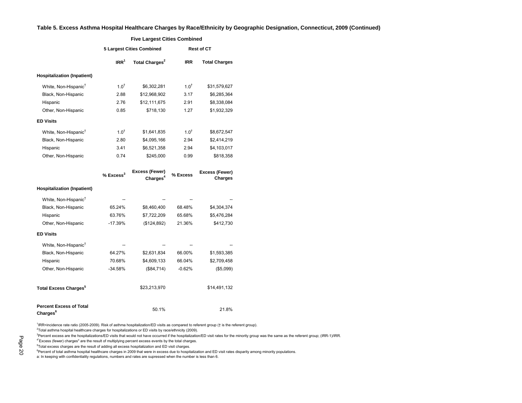#### **Table 5. Excess Asthma Hospital Healthcare Charges by Race/Ethnicity by Geographic Designation, Connecticut, 2009 (Continued)**

|                                                               | <b>Five Largest Cities Combined</b> |                                        |                   |                           |  |  |  |  |
|---------------------------------------------------------------|-------------------------------------|----------------------------------------|-------------------|---------------------------|--|--|--|--|
|                                                               |                                     | <b>5 Largest Cities Combined</b>       | <b>Rest of CT</b> |                           |  |  |  |  |
|                                                               | IRR <sup>1</sup>                    | Total Charges <sup>2</sup>             | <b>IRR</b>        | <b>Total Charges</b>      |  |  |  |  |
| <b>Hospitalization (Inpatient)</b>                            |                                     |                                        |                   |                           |  |  |  |  |
| White, Non-Hispanic <sup>†</sup>                              | $1.0^{\dagger}$                     | \$6,302,281                            | $1.0^{\dagger}$   | \$31,579,627              |  |  |  |  |
| Black, Non-Hispanic                                           | 2.88                                | \$12,968,902                           | 3.17              | \$6,285,364               |  |  |  |  |
| Hispanic                                                      | 2.76                                | \$12,111,675                           | 2.91              | \$8,338,084               |  |  |  |  |
| Other, Non-Hispanic                                           | 0.85                                | \$718,130                              | 1.27              | \$1,932,329               |  |  |  |  |
| <b>ED Visits</b>                                              |                                     |                                        |                   |                           |  |  |  |  |
| White, Non-Hispanic <sup>†</sup>                              | $1.0^{+}$                           | \$1,641,835                            | $1.0^{+}$         | \$8,672,547               |  |  |  |  |
| Black, Non-Hispanic                                           | 2.80                                | \$4,095,166                            | 2.94              | \$2,414,219               |  |  |  |  |
| Hispanic                                                      | 3.41                                | \$6,521,358                            | 2.94              | \$4,103,017               |  |  |  |  |
| Other, Non-Hispanic                                           | 0.74                                | \$245,000                              | 0.99              | \$818,358                 |  |  |  |  |
|                                                               | $%$ Excess <sup>3</sup>             | Excess (Fewer)<br>Charges <sup>4</sup> | % Excess          | Excess (Fewer)<br>Charges |  |  |  |  |
| <b>Hospitalization (Inpatient)</b>                            |                                     |                                        |                   |                           |  |  |  |  |
| White, Non-Hispanic <sup>†</sup>                              |                                     |                                        |                   |                           |  |  |  |  |
| Black, Non-Hispanic                                           | 65.24%                              | \$8,460,400                            | 68.48%            | \$4,304,374               |  |  |  |  |
| Hispanic                                                      | 63.76%                              | \$7,722,209                            | 65.68%            | \$5,476,284               |  |  |  |  |
| Other, Non-Hispanic                                           | $-17.39%$                           | (\$124,892)                            | 21.36%            | \$412,730                 |  |  |  |  |
| <b>ED Visits</b>                                              |                                     |                                        |                   |                           |  |  |  |  |
| White, Non-Hispanic <sup>†</sup>                              |                                     |                                        |                   |                           |  |  |  |  |
| Black, Non-Hispanic                                           | 64.27%                              | \$2,631,834                            | 66.00%            | \$1,593,385               |  |  |  |  |
| Hispanic                                                      | 70.68%                              | \$4,609,133                            | 66.04%            | \$2,709,458               |  |  |  |  |
| Other, Non-Hispanic                                           | $-34.58%$                           | (\$84,714)                             | $-0.62%$          | (\$5,099)                 |  |  |  |  |
| <b>Total Excess Charges<sup>5</sup></b>                       |                                     | \$23,213,970                           |                   | \$14,491,132              |  |  |  |  |
| <b>Percent Excess of Total</b><br><b>Charges</b> <sup>6</sup> |                                     | 50.1%                                  |                   | 21.8%                     |  |  |  |  |

1 IRR=incidence rate ratio (2005-2009). Risk of asthma hospitalization/ED visits as compared to referent group († is the referent group).

 ${}^{2}$ Total asthma hospital healthcare charges for hospitalizations or ED visits by race/ethnicity (2009).

<sup>3</sup>Percent excess are the hospitalizations/ED visits that would not have occurred if the hospitalization/ED visit rates for the minority group was the same as the referent group; (IRR-1)/IRR.

4"Excess (fewer) charges" are the result of multiplying percent excess events by the total charges.

<sup>5</sup>Total excess charges are the result of adding all excess hospitalization and ED visit charges.

<sup>6</sup>Percent of total asthma hospital healthcare charges in 2009 that were in excess due to hospitalization and ED visit rates disparity among minority populations.